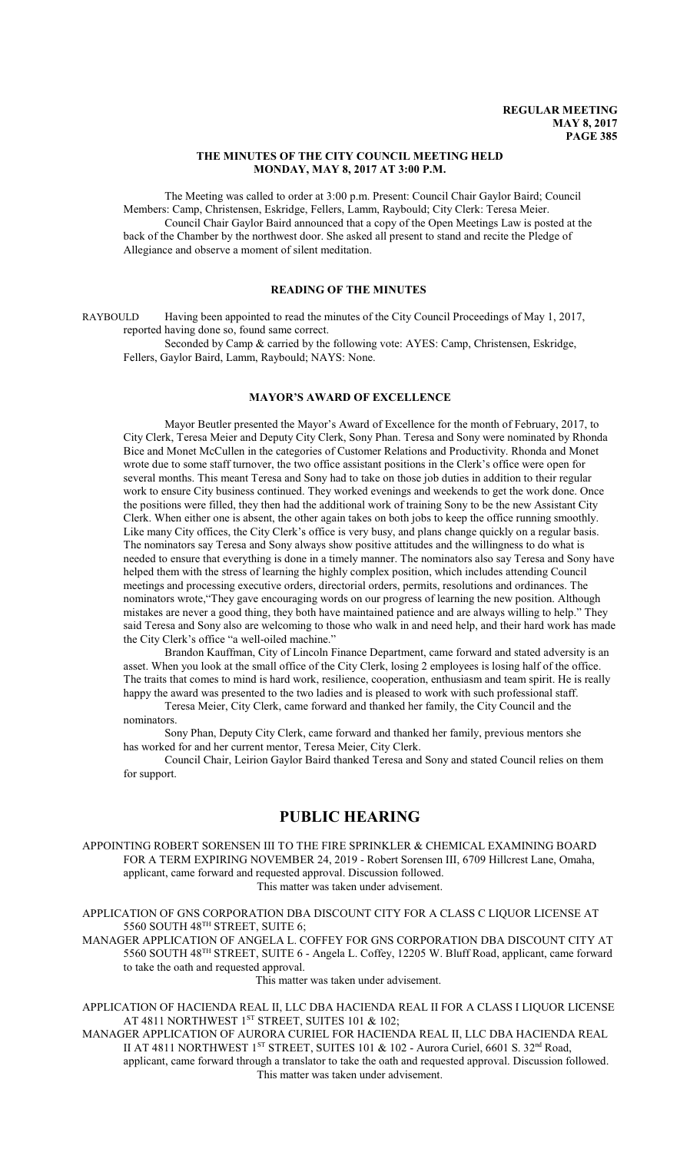#### **THE MINUTES OF THE CITY COUNCIL MEETING HELD MONDAY, MAY 8, 2017 AT 3:00 P.M.**

The Meeting was called to order at 3:00 p.m. Present: Council Chair Gaylor Baird; Council Members: Camp, Christensen, Eskridge, Fellers, Lamm, Raybould; City Clerk: Teresa Meier. Council Chair Gaylor Baird announced that a copy of the Open Meetings Law is posted at the back of the Chamber by the northwest door. She asked all present to stand and recite the Pledge of Allegiance and observe a moment of silent meditation.

### **READING OF THE MINUTES**

RAYBOULD Having been appointed to read the minutes of the City Council Proceedings of May 1, 2017, reported having done so, found same correct.

Seconded by Camp & carried by the following vote: AYES: Camp, Christensen, Eskridge, Fellers, Gaylor Baird, Lamm, Raybould; NAYS: None.

## **MAYOR'S AWARD OF EXCELLENCE**

Mayor Beutler presented the Mayor's Award of Excellence for the month of February, 2017, to City Clerk, Teresa Meier and Deputy City Clerk, Sony Phan. Teresa and Sony were nominated by Rhonda Bice and Monet McCullen in the categories of Customer Relations and Productivity. Rhonda and Monet wrote due to some staff turnover, the two office assistant positions in the Clerk's office were open for several months. This meant Teresa and Sony had to take on those job duties in addition to their regular work to ensure City business continued. They worked evenings and weekends to get the work done. Once the positions were filled, they then had the additional work of training Sony to be the new Assistant City Clerk. When either one is absent, the other again takes on both jobs to keep the office running smoothly. Like many City offices, the City Clerk's office is very busy, and plans change quickly on a regular basis. The nominators say Teresa and Sony always show positive attitudes and the willingness to do what is needed to ensure that everything is done in a timely manner. The nominators also say Teresa and Sony have helped them with the stress of learning the highly complex position, which includes attending Council meetings and processing executive orders, directorial orders, permits, resolutions and ordinances. The nominators wrote,"They gave encouraging words on our progress of learning the new position. Although mistakes are never a good thing, they both have maintained patience and are always willing to help." They said Teresa and Sony also are welcoming to those who walk in and need help, and their hard work has made the City Clerk's office "a well-oiled machine."

Brandon Kauffman, City of Lincoln Finance Department, came forward and stated adversity is an asset. When you look at the small office of the City Clerk, losing 2 employees is losing half of the office. The traits that comes to mind is hard work, resilience, cooperation, enthusiasm and team spirit. He is really happy the award was presented to the two ladies and is pleased to work with such professional staff.

Teresa Meier, City Clerk, came forward and thanked her family, the City Council and the nominators.

Sony Phan, Deputy City Clerk, came forward and thanked her family, previous mentors she has worked for and her current mentor, Teresa Meier, City Clerk.

Council Chair, Leirion Gaylor Baird thanked Teresa and Sony and stated Council relies on them for support.

# **PUBLIC HEARING**

APPOINTING ROBERT SORENSEN III TO THE FIRE SPRINKLER & CHEMICAL EXAMINING BOARD FOR A TERM EXPIRING NOVEMBER 24, 2019 - Robert Sorensen III, 6709 Hillcrest Lane, Omaha, applicant, came forward and requested approval. Discussion followed. This matter was taken under advisement.

APPLICATION OF GNS CORPORATION DBA DISCOUNT CITY FOR A CLASS C LIQUOR LICENSE AT 5560 SOUTH  $48^{\text{th}}$  STREET, SUITE 6;

MANAGER APPLICATION OF ANGELA L. COFFEY FOR GNS CORPORATION DBA DISCOUNT CITY AT 5560 SOUTH 48<sup>TH</sup> STREET, SUITE 6 - Angela L. Coffey, 12205 W. Bluff Road, applicant, came forward to take the oath and requested approval.

This matter was taken under advisement.

APPLICATION OF HACIENDA REAL II, LLC DBA HACIENDA REAL II FOR A CLASS I LIQUOR LICENSE AT 4811 NORTHWEST 1ST STREET, SUITES 101 & 102;

MANAGER APPLICATION OF AURORA CURIEL FOR HACIENDA REAL II, LLC DBA HACIENDA REAL II AT 4811 NORTHWEST 1<sup>st</sup> STREET, SUITES 101 & 102 - Aurora Curiel, 6601 S. 32<sup>nd</sup> Road, applicant, came forward through a translator to take the oath and requested approval. Discussion followed.

This matter was taken under advisement.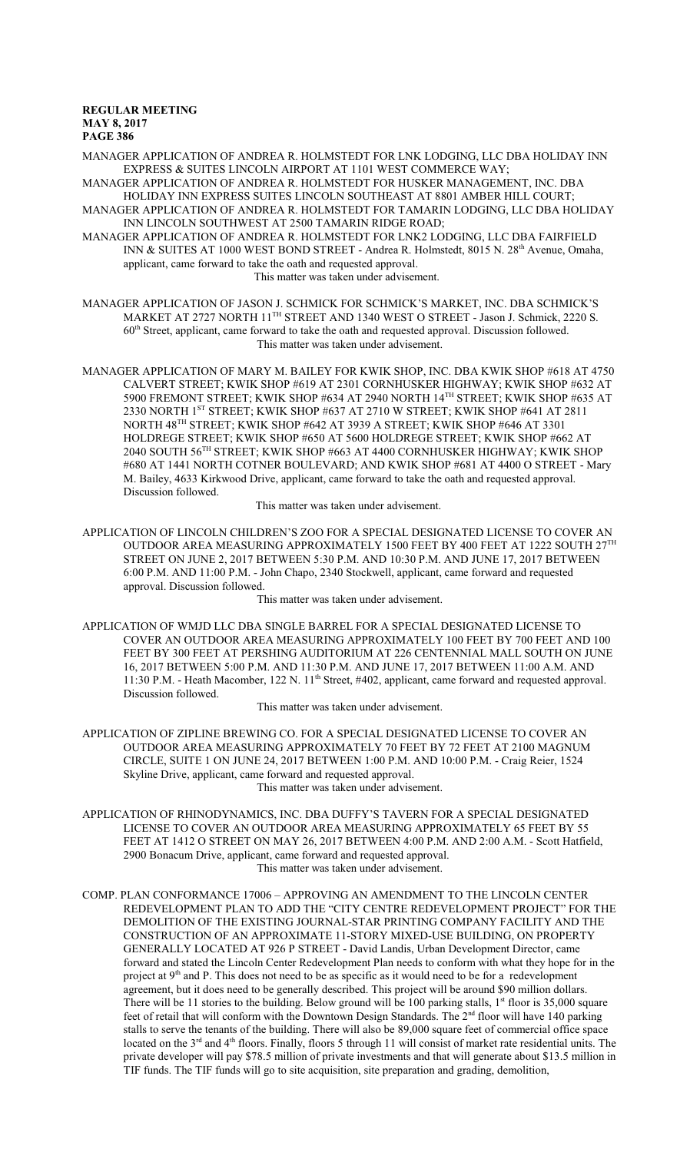MANAGER APPLICATION OF ANDREA R. HOLMSTEDT FOR LNK LODGING, LLC DBA HOLIDAY INN EXPRESS & SUITES LINCOLN AIRPORT AT 1101 WEST COMMERCE WAY;

MANAGER APPLICATION OF ANDREA R. HOLMSTEDT FOR HUSKER MANAGEMENT, INC. DBA HOLIDAY INN EXPRESS SUITES LINCOLN SOUTHEAST AT 8801 AMBER HILL COURT; MANAGER APPLICATION OF ANDREA R. HOLMSTEDT FOR TAMARIN LODGING, LLC DBA HOLIDAY INN LINCOLN SOUTHWEST AT 2500 TAMARIN RIDGE ROAD;

MANAGER APPLICATION OF ANDREA R. HOLMSTEDT FOR LNK2 LODGING, LLC DBA FAIRFIELD INN & SUITES AT 1000 WEST BOND STREET - Andrea R. Holmstedt, 8015 N. 28<sup>th</sup> Avenue, Omaha, applicant, came forward to take the oath and requested approval. This matter was taken under advisement.

MANAGER APPLICATION OF JASON J. SCHMICK FOR SCHMICK'S MARKET, INC. DBA SCHMICK'S MARKET AT 2727 NORTH 11<sup>th</sup> STREET AND 1340 WEST O STREET - Jason J. Schmick, 2220 S. 60<sup>th</sup> Street, applicant, came forward to take the oath and requested approval. Discussion followed. This matter was taken under advisement.

MANAGER APPLICATION OF MARY M. BAILEY FOR KWIK SHOP, INC. DBA KWIK SHOP #618 AT 4750 CALVERT STREET; KWIK SHOP #619 AT 2301 CORNHUSKER HIGHWAY; KWIK SHOP #632 AT 5900 FREMONT STREET; KWIK SHOP #634 AT 2940 NORTH 14 TH STREET; KWIK SHOP #635 AT 2330 NORTH 1<sup>ST</sup> STREET; KWIK SHOP #637 AT 2710 W STREET; KWIK SHOP #641 AT 2811 NORTH 48 TH STREET; KWIK SHOP #642 AT 3939 A STREET; KWIK SHOP #646 AT 3301 HOLDREGE STREET; KWIK SHOP #650 AT 5600 HOLDREGE STREET; KWIK SHOP #662 AT 2040 SOUTH 56 TH STREET; KWIK SHOP #663 AT 4400 CORNHUSKER HIGHWAY; KWIK SHOP #680 AT 1441 NORTH COTNER BOULEVARD; AND KWIK SHOP #681 AT 4400 O STREET - Mary M. Bailey, 4633 Kirkwood Drive, applicant, came forward to take the oath and requested approval. Discussion followed.

This matter was taken under advisement.

APPLICATION OF LINCOLN CHILDREN'S ZOO FOR A SPECIAL DESIGNATED LICENSE TO COVER AN OUTDOOR AREA MEASURING APPROXIMATELY 1500 FEET BY 400 FEET AT 1222 SOUTH 27 $^{\mathrm{TH}}$ STREET ON JUNE 2, 2017 BETWEEN 5:30 P.M. AND 10:30 P.M. AND JUNE 17, 2017 BETWEEN 6:00 P.M. AND 11:00 P.M. - John Chapo, 2340 Stockwell, applicant, came forward and requested approval. Discussion followed.

This matter was taken under advisement.

APPLICATION OF WMJD LLC DBA SINGLE BARREL FOR A SPECIAL DESIGNATED LICENSE TO COVER AN OUTDOOR AREA MEASURING APPROXIMATELY 100 FEET BY 700 FEET AND 100 FEET BY 300 FEET AT PERSHING AUDITORIUM AT 226 CENTENNIAL MALL SOUTH ON JUNE 16, 2017 BETWEEN 5:00 P.M. AND 11:30 P.M. AND JUNE 17, 2017 BETWEEN 11:00 A.M. AND 11:30 P.M. - Heath Macomber, 122 N. 11<sup>th</sup> Street, #402, applicant, came forward and requested approval. Discussion followed.

This matter was taken under advisement.

APPLICATION OF ZIPLINE BREWING CO. FOR A SPECIAL DESIGNATED LICENSE TO COVER AN OUTDOOR AREA MEASURING APPROXIMATELY 70 FEET BY 72 FEET AT 2100 MAGNUM CIRCLE, SUITE 1 ON JUNE 24, 2017 BETWEEN 1:00 P.M. AND 10:00 P.M. - Craig Reier, 1524 Skyline Drive, applicant, came forward and requested approval. This matter was taken under advisement.

- APPLICATION OF RHINODYNAMICS, INC. DBA DUFFY'S TAVERN FOR A SPECIAL DESIGNATED LICENSE TO COVER AN OUTDOOR AREA MEASURING APPROXIMATELY 65 FEET BY 55 FEET AT 1412 O STREET ON MAY 26, 2017 BETWEEN 4:00 P.M. AND 2:00 A.M. - Scott Hatfield, 2900 Bonacum Drive, applicant, came forward and requested approval. This matter was taken under advisement.
- COMP. PLAN CONFORMANCE 17006 APPROVING AN AMENDMENT TO THE LINCOLN CENTER REDEVELOPMENT PLAN TO ADD THE "CITY CENTRE REDEVELOPMENT PROJECT" FOR THE DEMOLITION OF THE EXISTING JOURNAL-STAR PRINTING COMPANY FACILITY AND THE CONSTRUCTION OF AN APPROXIMATE 11-STORY MIXED-USE BUILDING, ON PROPERTY GENERALLY LOCATED AT 926 P STREET - David Landis, Urban Development Director, came forward and stated the Lincoln Center Redevelopment Plan needs to conform with what they hope for in the project at 9<sup>th</sup> and P. This does not need to be as specific as it would need to be for a redevelopment agreement, but it does need to be generally described. This project will be around \$90 million dollars. There will be 11 stories to the building. Below ground will be 100 parking stalls, 1<sup>st</sup> floor is 35,000 square feet of retail that will conform with the Downtown Design Standards. The 2<sup>nd</sup> floor will have 140 parking stalls to serve the tenants of the building. There will also be 89,000 square feet of commercial office space located on the 3<sup>rd</sup> and 4<sup>th</sup> floors. Finally, floors 5 through 11 will consist of market rate residential units. The private developer will pay \$78.5 million of private investments and that will generate about \$13.5 million in TIF funds. The TIF funds will go to site acquisition, site preparation and grading, demolition,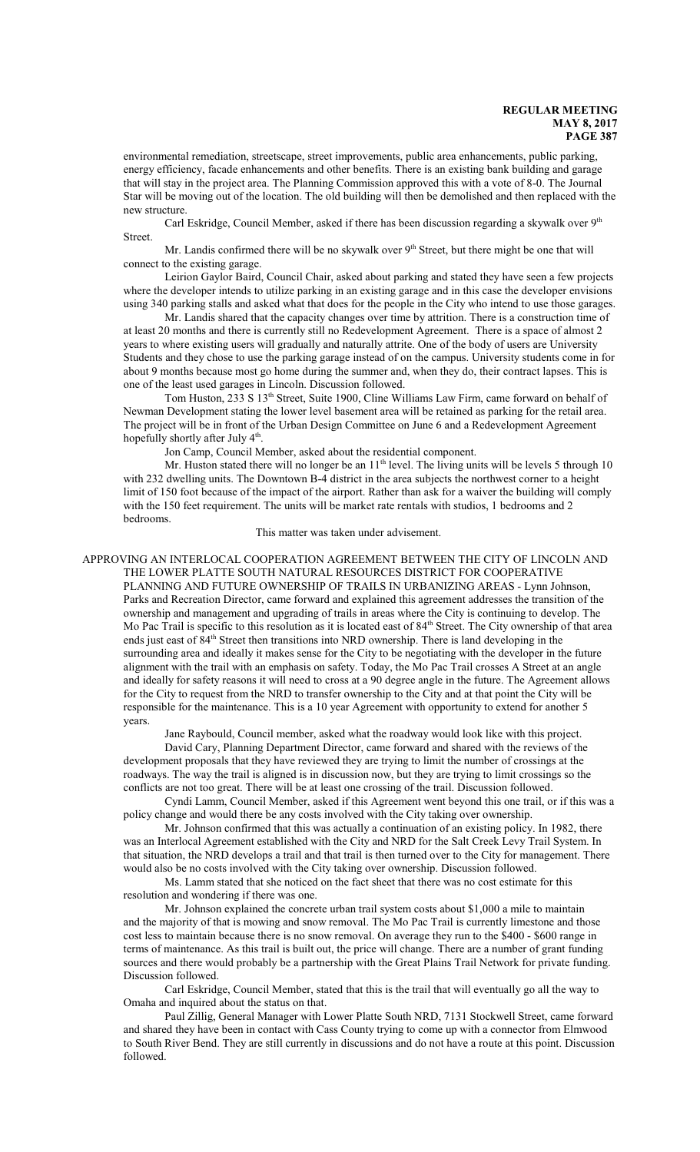environmental remediation, streetscape, street improvements, public area enhancements, public parking, energy efficiency, facade enhancements and other benefits. There is an existing bank building and garage that will stay in the project area. The Planning Commission approved this with a vote of 8-0. The Journal Star will be moving out of the location. The old building will then be demolished and then replaced with the new structure.

Carl Eskridge, Council Member, asked if there has been discussion regarding a skywalk over  $9<sup>th</sup>$ Street.

Mr. Landis confirmed there will be no skywalk over  $9<sup>th</sup>$  Street, but there might be one that will connect to the existing garage.

Leirion Gaylor Baird, Council Chair, asked about parking and stated they have seen a few projects where the developer intends to utilize parking in an existing garage and in this case the developer envisions using 340 parking stalls and asked what that does for the people in the City who intend to use those garages.

Mr. Landis shared that the capacity changes over time by attrition. There is a construction time of at least 20 months and there is currently still no Redevelopment Agreement. There is a space of almost 2 years to where existing users will gradually and naturally attrite. One of the body of users are University Students and they chose to use the parking garage instead of on the campus. University students come in for about 9 months because most go home during the summer and, when they do, their contract lapses. This is one of the least used garages in Lincoln. Discussion followed.

Tom Huston, 233 S 13<sup>th</sup> Street, Suite 1900, Cline Williams Law Firm, came forward on behalf of Newman Development stating the lower level basement area will be retained as parking for the retail area. The project will be in front of the Urban Design Committee on June 6 and a Redevelopment Agreement hopefully shortly after July 4<sup>th</sup>.

Jon Camp, Council Member, asked about the residential component.

Mr. Huston stated there will no longer be an 11<sup>th</sup> level. The living units will be levels 5 through 10 with 232 dwelling units. The Downtown B-4 district in the area subjects the northwest corner to a height limit of 150 foot because of the impact of the airport. Rather than ask for a waiver the building will comply with the 150 feet requirement. The units will be market rate rentals with studios, 1 bedrooms and 2 bedrooms.

This matter was taken under advisement.

#### APPROVING AN INTERLOCAL COOPERATION AGREEMENT BETWEEN THE CITY OF LINCOLN AND THE LOWER PLATTE SOUTH NATURAL RESOURCES DISTRICT FOR COOPERATIVE PLANNING AND FUTURE OWNERSHIP OF TRAILS IN URBANIZING AREAS - Lynn Johnson, Parks and Recreation Director, came forward and explained this agreement addresses the transition of the ownership and management and upgrading of trails in areas where the City is continuing to develop. The Mo Pac Trail is specific to this resolution as it is located east of 84<sup>th</sup> Street. The City ownership of that area ends just east of 84<sup>th</sup> Street then transitions into NRD ownership. There is land developing in the surrounding area and ideally it makes sense for the City to be negotiating with the developer in the future alignment with the trail with an emphasis on safety. Today, the Mo Pac Trail crosses A Street at an angle and ideally for safety reasons it will need to cross at a 90 degree angle in the future. The Agreement allows for the City to request from the NRD to transfer ownership to the City and at that point the City will be responsible for the maintenance. This is a 10 year Agreement with opportunity to extend for another 5 years.

Jane Raybould, Council member, asked what the roadway would look like with this project.

David Cary, Planning Department Director, came forward and shared with the reviews of the development proposals that they have reviewed they are trying to limit the number of crossings at the roadways. The way the trail is aligned is in discussion now, but they are trying to limit crossings so the conflicts are not too great. There will be at least one crossing of the trail. Discussion followed.

Cyndi Lamm, Council Member, asked if this Agreement went beyond this one trail, or if this was a policy change and would there be any costs involved with the City taking over ownership.

Mr. Johnson confirmed that this was actually a continuation of an existing policy. In 1982, there was an Interlocal Agreement established with the City and NRD for the Salt Creek Levy Trail System. In that situation, the NRD develops a trail and that trail is then turned over to the City for management. There would also be no costs involved with the City taking over ownership. Discussion followed.

Ms. Lamm stated that she noticed on the fact sheet that there was no cost estimate for this resolution and wondering if there was one.

Mr. Johnson explained the concrete urban trail system costs about \$1,000 a mile to maintain and the majority of that is mowing and snow removal. The Mo Pac Trail is currently limestone and those cost less to maintain because there is no snow removal. On average they run to the \$400 - \$600 range in terms of maintenance. As this trail is built out, the price will change. There are a number of grant funding sources and there would probably be a partnership with the Great Plains Trail Network for private funding. Discussion followed.

Carl Eskridge, Council Member, stated that this is the trail that will eventually go all the way to Omaha and inquired about the status on that.

Paul Zillig, General Manager with Lower Platte South NRD, 7131 Stockwell Street, came forward and shared they have been in contact with Cass County trying to come up with a connector from Elmwood to South River Bend. They are still currently in discussions and do not have a route at this point. Discussion followed.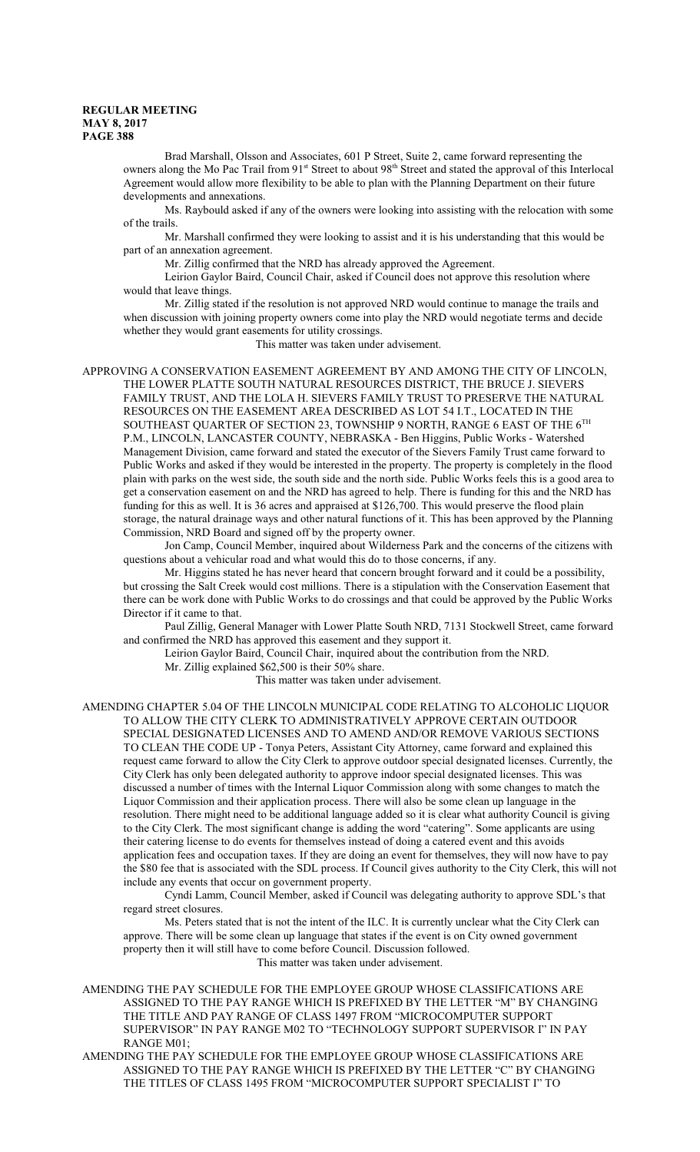Brad Marshall, Olsson and Associates, 601 P Street, Suite 2, came forward representing the owners along the Mo Pac Trail from 91<sup>st</sup> Street to about 98<sup>th</sup> Street and stated the approval of this Interlocal Agreement would allow more flexibility to be able to plan with the Planning Department on their future developments and annexations.

Ms. Raybould asked if any of the owners were looking into assisting with the relocation with some of the trails.

Mr. Marshall confirmed they were looking to assist and it is his understanding that this would be part of an annexation agreement.

Mr. Zillig confirmed that the NRD has already approved the Agreement.

Leirion Gaylor Baird, Council Chair, asked if Council does not approve this resolution where would that leave things.

Mr. Zillig stated if the resolution is not approved NRD would continue to manage the trails and when discussion with joining property owners come into play the NRD would negotiate terms and decide whether they would grant easements for utility crossings.

This matter was taken under advisement.

APPROVING A CONSERVATION EASEMENT AGREEMENT BY AND AMONG THE CITY OF LINCOLN, THE LOWER PLATTE SOUTH NATURAL RESOURCES DISTRICT, THE BRUCE J. SIEVERS FAMILY TRUST, AND THE LOLA H. SIEVERS FAMILY TRUST TO PRESERVE THE NATURAL RESOURCES ON THE EASEMENT AREA DESCRIBED AS LOT 54 I.T., LOCATED IN THE SOUTHEAST QUARTER OF SECTION 23, TOWNSHIP 9 NORTH, RANGE 6 EAST OF THE  $6^{\mathrm{TH}}$ P.M., LINCOLN, LANCASTER COUNTY, NEBRASKA - Ben Higgins, Public Works - Watershed Management Division, came forward and stated the executor of the Sievers Family Trust came forward to Public Works and asked if they would be interested in the property. The property is completely in the flood plain with parks on the west side, the south side and the north side. Public Works feels this is a good area to get a conservation easement on and the NRD has agreed to help. There is funding for this and the NRD has funding for this as well. It is 36 acres and appraised at \$126,700. This would preserve the flood plain storage, the natural drainage ways and other natural functions of it. This has been approved by the Planning Commission, NRD Board and signed off by the property owner.

Jon Camp, Council Member, inquired about Wilderness Park and the concerns of the citizens with questions about a vehicular road and what would this do to those concerns, if any.

Mr. Higgins stated he has never heard that concern brought forward and it could be a possibility, but crossing the Salt Creek would cost millions. There is a stipulation with the Conservation Easement that there can be work done with Public Works to do crossings and that could be approved by the Public Works Director if it came to that.

Paul Zillig, General Manager with Lower Platte South NRD, 7131 Stockwell Street, came forward and confirmed the NRD has approved this easement and they support it.

Leirion Gaylor Baird, Council Chair, inquired about the contribution from the NRD.

Mr. Zillig explained \$62,500 is their 50% share.

This matter was taken under advisement.

AMENDING CHAPTER 5.04 OF THE LINCOLN MUNICIPAL CODE RELATING TO ALCOHOLIC LIQUOR TO ALLOW THE CITY CLERK TO ADMINISTRATIVELY APPROVE CERTAIN OUTDOOR SPECIAL DESIGNATED LICENSES AND TO AMEND AND/OR REMOVE VARIOUS SECTIONS TO CLEAN THE CODE UP - Tonya Peters, Assistant City Attorney, came forward and explained this request came forward to allow the City Clerk to approve outdoor special designated licenses. Currently, the City Clerk has only been delegated authority to approve indoor special designated licenses. This was discussed a number of times with the Internal Liquor Commission along with some changes to match the Liquor Commission and their application process. There will also be some clean up language in the resolution. There might need to be additional language added so it is clear what authority Council is giving to the City Clerk. The most significant change is adding the word "catering". Some applicants are using their catering license to do events for themselves instead of doing a catered event and this avoids application fees and occupation taxes. If they are doing an event for themselves, they will now have to pay the \$80 fee that is associated with the SDL process. If Council gives authority to the City Clerk, this will not include any events that occur on government property.

Cyndi Lamm, Council Member, asked if Council was delegating authority to approve SDL's that regard street closures.

Ms. Peters stated that is not the intent of the ILC. It is currently unclear what the City Clerk can approve. There will be some clean up language that states if the event is on City owned government property then it will still have to come before Council. Discussion followed. This matter was taken under advisement.

AMENDING THE PAY SCHEDULE FOR THE EMPLOYEE GROUP WHOSE CLASSIFICATIONS ARE ASSIGNED TO THE PAY RANGE WHICH IS PREFIXED BY THE LETTER "M" BY CHANGING THE TITLE AND PAY RANGE OF CLASS 1497 FROM "MICROCOMPUTER SUPPORT SUPERVISOR" IN PAY RANGE M02 TO "TECHNOLOGY SUPPORT SUPERVISOR I" IN PAY RANGE M01;

AMENDING THE PAY SCHEDULE FOR THE EMPLOYEE GROUP WHOSE CLASSIFICATIONS ARE ASSIGNED TO THE PAY RANGE WHICH IS PREFIXED BY THE LETTER "C" BY CHANGING THE TITLES OF CLASS 1495 FROM "MICROCOMPUTER SUPPORT SPECIALIST I" TO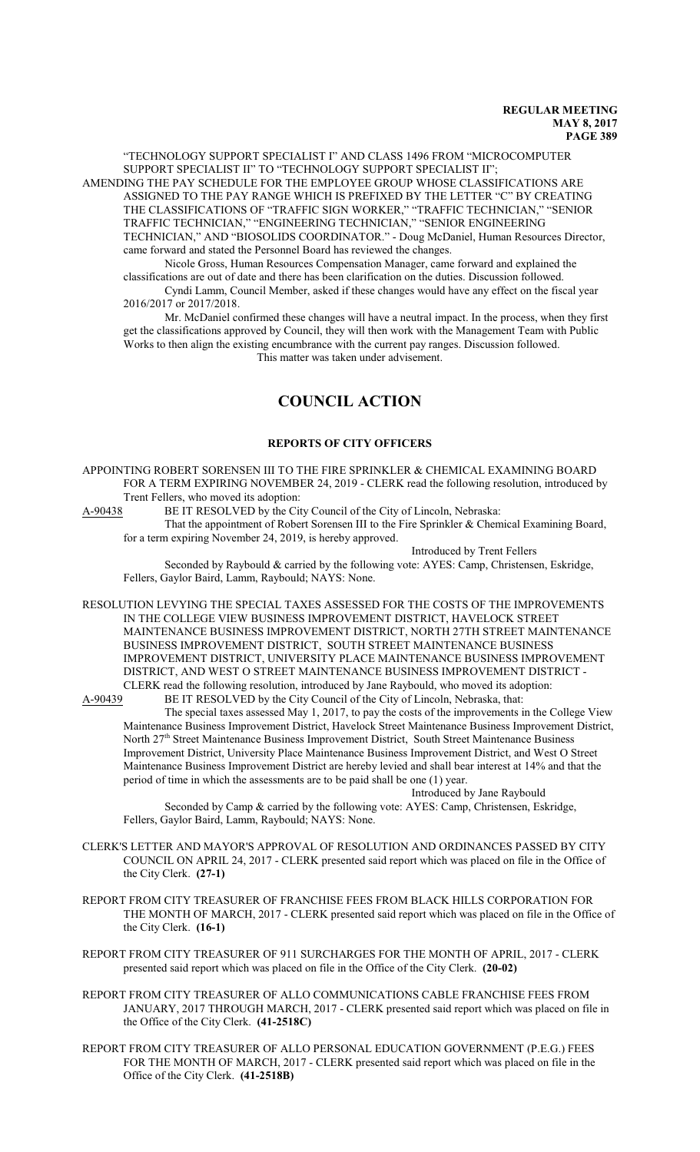"TECHNOLOGY SUPPORT SPECIALIST I" AND CLASS 1496 FROM "MICROCOMPUTER SUPPORT SPECIALIST II" TO "TECHNOLOGY SUPPORT SPECIALIST II"; AMENDING THE PAY SCHEDULE FOR THE EMPLOYEE GROUP WHOSE CLASSIFICATIONS ARE ASSIGNED TO THE PAY RANGE WHICH IS PREFIXED BY THE LETTER "C" BY CREATING THE CLASSIFICATIONS OF "TRAFFIC SIGN WORKER," "TRAFFIC TECHNICIAN," "SENIOR TRAFFIC TECHNICIAN," "ENGINEERING TECHNICIAN," "SENIOR ENGINEERING TECHNICIAN," AND "BIOSOLIDS COORDINATOR." - Doug McDaniel, Human Resources Director, came forward and stated the Personnel Board has reviewed the changes.

Nicole Gross, Human Resources Compensation Manager, came forward and explained the classifications are out of date and there has been clarification on the duties. Discussion followed.

Cyndi Lamm, Council Member, asked if these changes would have any effect on the fiscal year 2016/2017 or 2017/2018.

Mr. McDaniel confirmed these changes will have a neutral impact. In the process, when they first get the classifications approved by Council, they will then work with the Management Team with Public Works to then align the existing encumbrance with the current pay ranges. Discussion followed. This matter was taken under advisement.

# **COUNCIL ACTION**

#### **REPORTS OF CITY OFFICERS**

APPOINTING ROBERT SORENSEN III TO THE FIRE SPRINKLER & CHEMICAL EXAMINING BOARD FOR A TERM EXPIRING NOVEMBER 24, 2019 - CLERK read the following resolution, introduced by Trent Fellers, who moved its adoption:

A-90438 BE IT RESOLVED by the City Council of the City of Lincoln, Nebraska:

That the appointment of Robert Sorensen III to the Fire Sprinkler & Chemical Examining Board, for a term expiring November 24, 2019, is hereby approved.

Introduced by Trent Fellers

Seconded by Raybould & carried by the following vote: AYES: Camp, Christensen, Eskridge, Fellers, Gaylor Baird, Lamm, Raybould; NAYS: None.

RESOLUTION LEVYING THE SPECIAL TAXES ASSESSED FOR THE COSTS OF THE IMPROVEMENTS IN THE COLLEGE VIEW BUSINESS IMPROVEMENT DISTRICT, HAVELOCK STREET MAINTENANCE BUSINESS IMPROVEMENT DISTRICT, NORTH 27TH STREET MAINTENANCE BUSINESS IMPROVEMENT DISTRICT, SOUTH STREET MAINTENANCE BUSINESS IMPROVEMENT DISTRICT, UNIVERSITY PLACE MAINTENANCE BUSINESS IMPROVEMENT DISTRICT, AND WEST O STREET MAINTENANCE BUSINESS IMPROVEMENT DISTRICT -

CLERK read the following resolution, introduced by Jane Raybould, who moved its adoption:<br>A-90439 BE IT RESOLVED by the City Council of the City of Lincoln, Nebraska, that: BE IT RESOLVED by the City Council of the City of Lincoln, Nebraska, that:

The special taxes assessed May 1, 2017, to pay the costs of the improvements in the College View Maintenance Business Improvement District, Havelock Street Maintenance Business Improvement District, North 27<sup>th</sup> Street Maintenance Business Improvement District, South Street Maintenance Business Improvement District, University Place Maintenance Business Improvement District, and West O Street Maintenance Business Improvement District are hereby levied and shall bear interest at 14% and that the period of time in which the assessments are to be paid shall be one (1) year.

Introduced by Jane Raybould

Seconded by Camp & carried by the following vote: AYES: Camp, Christensen, Eskridge, Fellers, Gaylor Baird, Lamm, Raybould; NAYS: None.

- CLERK'S LETTER AND MAYOR'S APPROVAL OF RESOLUTION AND ORDINANCES PASSED BY CITY COUNCIL ON APRIL 24, 2017 - CLERK presented said report which was placed on file in the Office of the City Clerk. **(27-1)**
- REPORT FROM CITY TREASURER OF FRANCHISE FEES FROM BLACK HILLS CORPORATION FOR THE MONTH OF MARCH, 2017 - CLERK presented said report which was placed on file in the Office of the City Clerk. **(16-1)**
- REPORT FROM CITY TREASURER OF 911 SURCHARGES FOR THE MONTH OF APRIL, 2017 CLERK presented said report which was placed on file in the Office of the City Clerk. **(20-02)**
- REPORT FROM CITY TREASURER OF ALLO COMMUNICATIONS CABLE FRANCHISE FEES FROM JANUARY, 2017 THROUGH MARCH, 2017 - CLERK presented said report which was placed on file in the Office of the City Clerk. **(41-2518C)**
- REPORT FROM CITY TREASURER OF ALLO PERSONAL EDUCATION GOVERNMENT (P.E.G.) FEES FOR THE MONTH OF MARCH, 2017 - CLERK presented said report which was placed on file in the Office of the City Clerk. **(41-2518B)**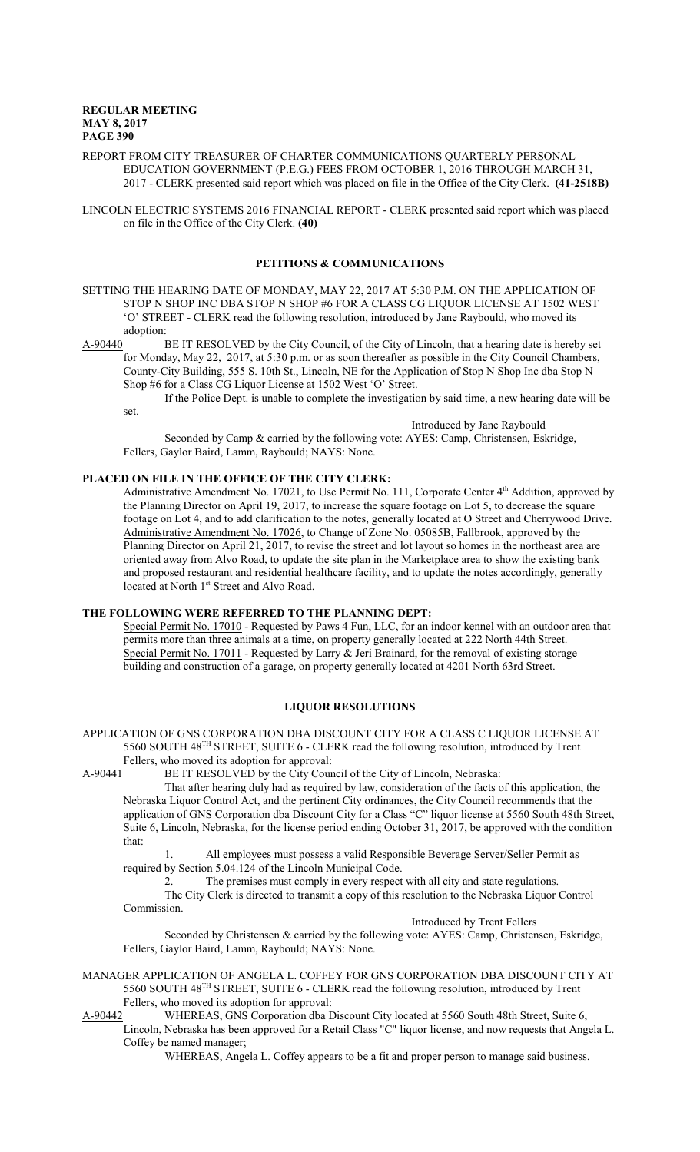- REPORT FROM CITY TREASURER OF CHARTER COMMUNICATIONS QUARTERLY PERSONAL EDUCATION GOVERNMENT (P.E.G.) FEES FROM OCTOBER 1, 2016 THROUGH MARCH 31, 2017 - CLERK presented said report which was placed on file in the Office of the City Clerk. **(41-2518B)**
- LINCOLN ELECTRIC SYSTEMS 2016 FINANCIAL REPORT CLERK presented said report which was placed on file in the Office of the City Clerk. **(40)**

#### **PETITIONS & COMMUNICATIONS**

- SETTING THE HEARING DATE OF MONDAY, MAY 22, 2017 AT 5:30 P.M. ON THE APPLICATION OF STOP N SHOP INC DBA STOP N SHOP #6 FOR A CLASS CG LIQUOR LICENSE AT 1502 WEST 'O' STREET - CLERK read the following resolution, introduced by Jane Raybould, who moved its adoption:
- A-90440 BE IT RESOLVED by the City Council, of the City of Lincoln, that a hearing date is hereby set for Monday, May 22, 2017, at 5:30 p.m. or as soon thereafter as possible in the City Council Chambers, County-City Building, 555 S. 10th St., Lincoln, NE for the Application of Stop N Shop Inc dba Stop N Shop #6 for a Class CG Liquor License at 1502 West 'O' Street.

If the Police Dept. is unable to complete the investigation by said time, a new hearing date will be

set.

Introduced by Jane Raybould

Seconded by Camp & carried by the following vote: AYES: Camp, Christensen, Eskridge, Fellers, Gaylor Baird, Lamm, Raybould; NAYS: None.

# **PLACED ON FILE IN THE OFFICE OF THE CITY CLERK:**

Administrative Amendment No. 17021, to Use Permit No. 111, Corporate Center 4<sup>th</sup> Addition, approved by the Planning Director on April 19, 2017, to increase the square footage on Lot 5, to decrease the square footage on Lot 4, and to add clarification to the notes, generally located at O Street and Cherrywood Drive. Administrative Amendment No. 17026, to Change of Zone No. 05085B, Fallbrook, approved by the Planning Director on April 21, 2017, to revise the street and lot layout so homes in the northeast area are oriented away from Alvo Road, to update the site plan in the Marketplace area to show the existing bank and proposed restaurant and residential healthcare facility, and to update the notes accordingly, generally located at North 1<sup>st</sup> Street and Alvo Road.

#### **THE FOLLOWING WERE REFERRED TO THE PLANNING DEPT:**

Special Permit No. 17010 - Requested by Paws 4 Fun, LLC, for an indoor kennel with an outdoor area that permits more than three animals at a time, on property generally located at 222 North 44th Street. Special Permit No. 17011 - Requested by Larry & Jeri Brainard, for the removal of existing storage building and construction of a garage, on property generally located at 4201 North 63rd Street.

## **LIQUOR RESOLUTIONS**

APPLICATION OF GNS CORPORATION DBA DISCOUNT CITY FOR A CLASS C LIQUOR LICENSE AT 5560 SOUTH 48 TH STREET, SUITE 6 - CLERK read the following resolution, introduced by Trent Fellers, who moved its adoption for approval:<br>A-90441 BE IT RESOLVED by the City Cour

BE IT RESOLVED by the City Council of the City of Lincoln, Nebraska:

That after hearing duly had as required by law, consideration of the facts of this application, the Nebraska Liquor Control Act, and the pertinent City ordinances, the City Council recommends that the application of GNS Corporation dba Discount City for a Class "C" liquor license at 5560 South 48th Street, Suite 6, Lincoln, Nebraska, for the license period ending October 31, 2017, be approved with the condition that:

1. All employees must possess a valid Responsible Beverage Server/Seller Permit as required by Section 5.04.124 of the Lincoln Municipal Code.

2. The premises must comply in every respect with all city and state regulations.

The City Clerk is directed to transmit a copy of this resolution to the Nebraska Liquor Control Commission.

Introduced by Trent Fellers

Seconded by Christensen & carried by the following vote: AYES: Camp, Christensen, Eskridge, Fellers, Gaylor Baird, Lamm, Raybould; NAYS: None.

- MANAGER APPLICATION OF ANGELA L. COFFEY FOR GNS CORPORATION DBA DISCOUNT CITY AT 5560 SOUTH 48 TH STREET, SUITE 6 - CLERK read the following resolution, introduced by Trent Fellers, who moved its adoption for approval:<br>A-90442 WHEREAS, GNS Corporation dba L
	- WHEREAS, GNS Corporation dba Discount City located at 5560 South 48th Street, Suite 6, Lincoln, Nebraska has been approved for a Retail Class "C" liquor license, and now requests that Angela L. Coffey be named manager;

WHEREAS, Angela L. Coffey appears to be a fit and proper person to manage said business.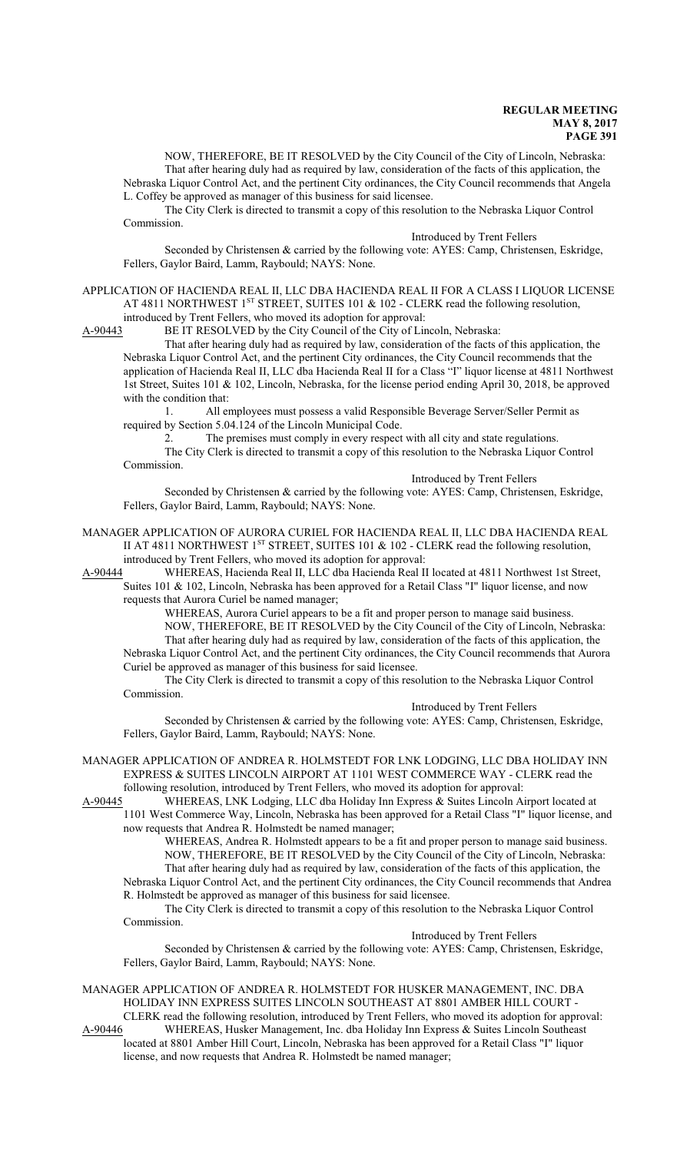NOW, THEREFORE, BE IT RESOLVED by the City Council of the City of Lincoln, Nebraska: That after hearing duly had as required by law, consideration of the facts of this application, the

Nebraska Liquor Control Act, and the pertinent City ordinances, the City Council recommends that Angela L. Coffey be approved as manager of this business for said licensee.

The City Clerk is directed to transmit a copy of this resolution to the Nebraska Liquor Control Commission.

#### Introduced by Trent Fellers

Seconded by Christensen & carried by the following vote: AYES: Camp, Christensen, Eskridge, Fellers, Gaylor Baird, Lamm, Raybould; NAYS: None.

APPLICATION OF HACIENDA REAL II, LLC DBA HACIENDA REAL II FOR A CLASS I LIQUOR LICENSE AT 4811 NORTHWEST 1<sup>st</sup> STREET, SUITES 101 & 102 - CLERK read the following resolution,

introduced by Trent Fellers, who moved its adoption for approval:<br>A-90443 BE IT RESOLVED by the City Council of the City of Lin BE IT RESOLVED by the City Council of the City of Lincoln, Nebraska:

That after hearing duly had as required by law, consideration of the facts of this application, the Nebraska Liquor Control Act, and the pertinent City ordinances, the City Council recommends that the application of Hacienda Real II, LLC dba Hacienda Real II for a Class "I" liquor license at 4811 Northwest 1st Street, Suites 101 & 102, Lincoln, Nebraska, for the license period ending April 30, 2018, be approved with the condition that:

1. All employees must possess a valid Responsible Beverage Server/Seller Permit as required by Section 5.04.124 of the Lincoln Municipal Code.

2. The premises must comply in every respect with all city and state regulations.

The City Clerk is directed to transmit a copy of this resolution to the Nebraska Liquor Control Commission.

Introduced by Trent Fellers

Seconded by Christensen & carried by the following vote: AYES: Camp, Christensen, Eskridge, Fellers, Gaylor Baird, Lamm, Raybould; NAYS: None.

MANAGER APPLICATION OF AURORA CURIEL FOR HACIENDA REAL II, LLC DBA HACIENDA REAL II AT 4811 NORTHWEST 1<sup>st</sup> STREET, SUITES 101  $\&$  102 - CLERK read the following resolution, introduced by Trent Fellers, who moved its adoption for approval:

A-90444 WHEREAS, Hacienda Real II, LLC dba Hacienda Real II located at 4811 Northwest 1st Street, Suites 101 & 102, Lincoln, Nebraska has been approved for a Retail Class "I" liquor license, and now requests that Aurora Curiel be named manager;

WHEREAS, Aurora Curiel appears to be a fit and proper person to manage said business. NOW, THEREFORE, BE IT RESOLVED by the City Council of the City of Lincoln, Nebraska: That after hearing duly had as required by law, consideration of the facts of this application, the Nebraska Liquor Control Act, and the pertinent City ordinances, the City Council recommends that Aurora Curiel be approved as manager of this business for said licensee.

The City Clerk is directed to transmit a copy of this resolution to the Nebraska Liquor Control Commission.

Introduced by Trent Fellers

Seconded by Christensen & carried by the following vote: AYES: Camp, Christensen, Eskridge, Fellers, Gaylor Baird, Lamm, Raybould; NAYS: None.

MANAGER APPLICATION OF ANDREA R. HOLMSTEDT FOR LNK LODGING, LLC DBA HOLIDAY INN EXPRESS & SUITES LINCOLN AIRPORT AT 1101 WEST COMMERCE WAY - CLERK read the following resolution, introduced by Trent Fellers, who moved its adoption for approval:

A-90445 WHEREAS, LNK Lodging, LLC dba Holiday Inn Express & Suites Lincoln Airport located at 1101 West Commerce Way, Lincoln, Nebraska has been approved for a Retail Class "I" liquor license, and now requests that Andrea R. Holmstedt be named manager;

WHEREAS, Andrea R. Holmstedt appears to be a fit and proper person to manage said business. NOW, THEREFORE, BE IT RESOLVED by the City Council of the City of Lincoln, Nebraska: That after hearing duly had as required by law, consideration of the facts of this application, the Nebraska Liquor Control Act, and the pertinent City ordinances, the City Council recommends that Andrea R. Holmstedt be approved as manager of this business for said licensee.

The City Clerk is directed to transmit a copy of this resolution to the Nebraska Liquor Control Commission.

Introduced by Trent Fellers

Seconded by Christensen & carried by the following vote: AYES: Camp, Christensen, Eskridge, Fellers, Gaylor Baird, Lamm, Raybould; NAYS: None.

MANAGER APPLICATION OF ANDREA R. HOLMSTEDT FOR HUSKER MANAGEMENT, INC. DBA HOLIDAY INN EXPRESS SUITES LINCOLN SOUTHEAST AT 8801 AMBER HILL COURT - CLERK read the following resolution, introduced by Trent Fellers, who moved its adoption for approval:<br>A-90446 WHEREAS, Husker Management, Inc. dba Holiday Inn Express & Suites Lincoln Southeast

WHEREAS, Husker Management, Inc. dba Holiday Inn Express & Suites Lincoln Southeast located at 8801 Amber Hill Court, Lincoln, Nebraska has been approved for a Retail Class "I" liquor license, and now requests that Andrea R. Holmstedt be named manager;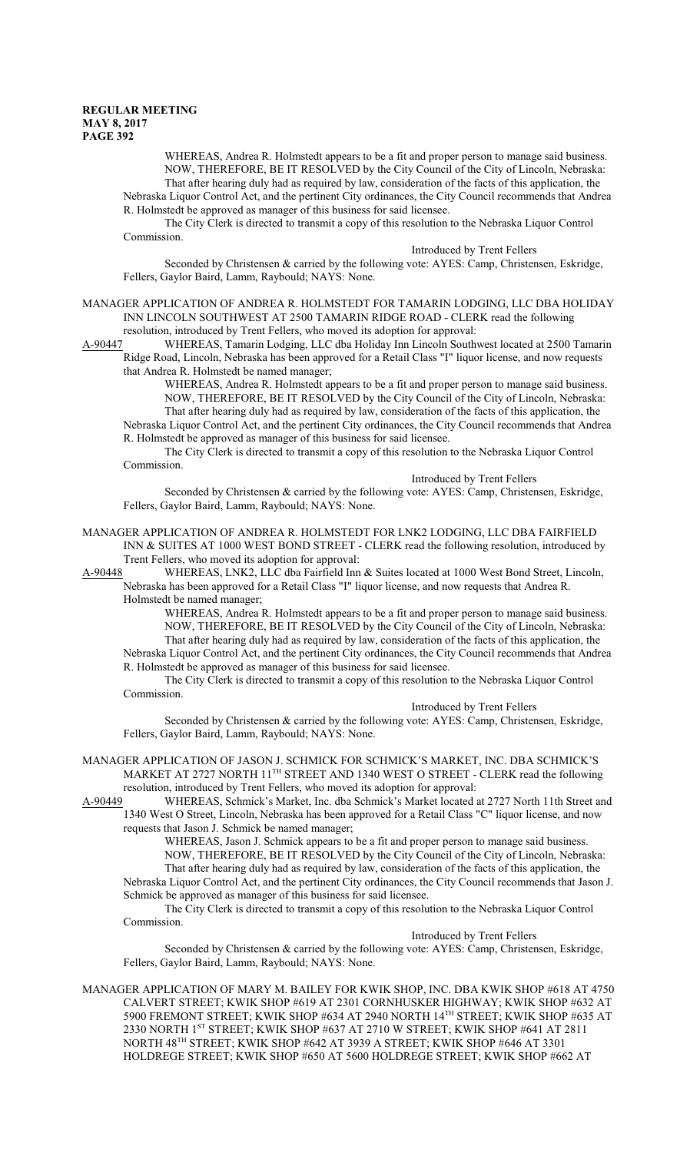WHEREAS, Andrea R. Holmstedt appears to be a fit and proper person to manage said business. NOW, THEREFORE, BE IT RESOLVED by the City Council of the City of Lincoln, Nebraska: That after hearing duly had as required by law, consideration of the facts of this application, the Nebraska Liquor Control Act, and the pertinent City ordinances, the City Council recommends that Andrea R. Holmstedt be approved as manager of this business for said licensee.

The City Clerk is directed to transmit a copy of this resolution to the Nebraska Liquor Control Commission.

#### Introduced by Trent Fellers

Seconded by Christensen & carried by the following vote: AYES: Camp, Christensen, Eskridge, Fellers, Gaylor Baird, Lamm, Raybould; NAYS: None.

MANAGER APPLICATION OF ANDREA R. HOLMSTEDT FOR TAMARIN LODGING, LLC DBA HOLIDAY INN LINCOLN SOUTHWEST AT 2500 TAMARIN RIDGE ROAD - CLERK read the following resolution, introduced by Trent Fellers, who moved its adoption for approval:

A-90447 WHEREAS, Tamarin Lodging, LLC dba Holiday Inn Lincoln Southwest located at 2500 Tamarin Ridge Road, Lincoln, Nebraska has been approved for a Retail Class "I" liquor license, and now requests

that Andrea R. Holmstedt be named manager;

WHEREAS, Andrea R. Holmstedt appears to be a fit and proper person to manage said business. NOW, THEREFORE, BE IT RESOLVED by the City Council of the City of Lincoln, Nebraska: That after hearing duly had as required by law, consideration of the facts of this application, the Nebraska Liquor Control Act, and the pertinent City ordinances, the City Council recommends that Andrea

R. Holmstedt be approved as manager of this business for said licensee. The City Clerk is directed to transmit a copy of this resolution to the Nebraska Liquor Control

Commission. Introduced by Trent Fellers

Seconded by Christensen & carried by the following vote: AYES: Camp, Christensen, Eskridge, Fellers, Gaylor Baird, Lamm, Raybould; NAYS: None.

MANAGER APPLICATION OF ANDREA R. HOLMSTEDT FOR LNK2 LODGING, LLC DBA FAIRFIELD INN & SUITES AT 1000 WEST BOND STREET - CLERK read the following resolution, introduced by Trent Fellers, who moved its adoption for approval:

A-90448 WHEREAS, LNK2, LLC dba Fairfield Inn & Suites located at 1000 West Bond Street, Lincoln, Nebraska has been approved for a Retail Class "I" liquor license, and now requests that Andrea R.

Holmstedt be named manager;

WHEREAS, Andrea R. Holmstedt appears to be a fit and proper person to manage said business. NOW, THEREFORE, BE IT RESOLVED by the City Council of the City of Lincoln, Nebraska: That after hearing duly had as required by law, consideration of the facts of this application, the Nebraska Liquor Control Act, and the pertinent City ordinances, the City Council recommends that Andrea R. Holmstedt be approved as manager of this business for said licensee.

The City Clerk is directed to transmit a copy of this resolution to the Nebraska Liquor Control Commission.

Introduced by Trent Fellers

Seconded by Christensen & carried by the following vote: AYES: Camp, Christensen, Eskridge, Fellers, Gaylor Baird, Lamm, Raybould; NAYS: None.

MANAGER APPLICATION OF JASON J. SCHMICK FOR SCHMICK'S MARKET, INC. DBA SCHMICK'S MARKET AT 2727 NORTH 11<sup>TH</sup> STREET AND 1340 WEST O STREET - CLERK read the following resolution, introduced by Trent Fellers, who moved its adoption for approval:

A-90449 WHEREAS, Schmick's Market, Inc. dba Schmick's Market located at 2727 North 11th Street and 1340 West O Street, Lincoln, Nebraska has been approved for a Retail Class "C" liquor license, and now requests that Jason J. Schmick be named manager;

WHEREAS, Jason J. Schmick appears to be a fit and proper person to manage said business. NOW, THEREFORE, BE IT RESOLVED by the City Council of the City of Lincoln, Nebraska: That after hearing duly had as required by law, consideration of the facts of this application, the Nebraska Liquor Control Act, and the pertinent City ordinances, the City Council recommends that Jason J.

Schmick be approved as manager of this business for said licensee. The City Clerk is directed to transmit a copy of this resolution to the Nebraska Liquor Control Commission.

#### Introduced by Trent Fellers

Seconded by Christensen & carried by the following vote: AYES: Camp, Christensen, Eskridge, Fellers, Gaylor Baird, Lamm, Raybould; NAYS: None.

MANAGER APPLICATION OF MARY M. BAILEY FOR KWIK SHOP, INC. DBA KWIK SHOP #618 AT 4750 CALVERT STREET; KWIK SHOP #619 AT 2301 CORNHUSKER HIGHWAY; KWIK SHOP #632 AT 5900 FREMONT STREET; KWIK SHOP #634 AT 2940 NORTH 14 TH STREET; KWIK SHOP #635 AT 2330 NORTH 1ST STREET; KWIK SHOP #637 AT 2710 W STREET; KWIK SHOP #641 AT 2811 NORTH 48 TH STREET; KWIK SHOP #642 AT 3939 A STREET; KWIK SHOP #646 AT 3301 HOLDREGE STREET; KWIK SHOP #650 AT 5600 HOLDREGE STREET; KWIK SHOP #662 AT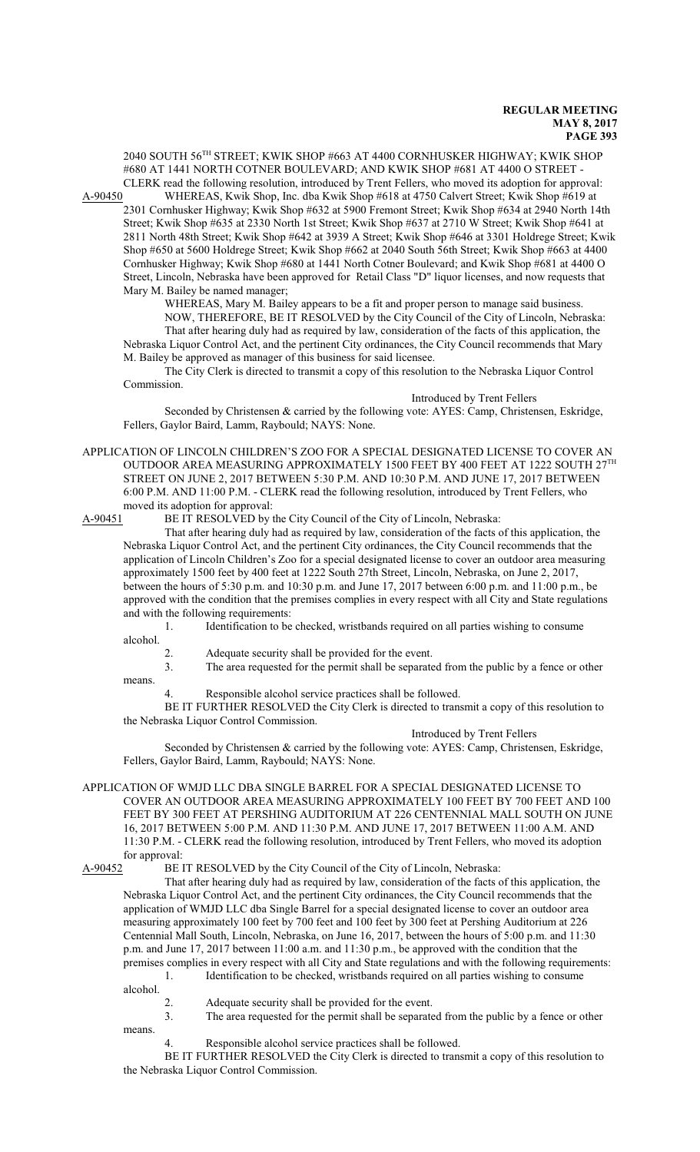2040 SOUTH 56 TH STREET; KWIK SHOP #663 AT 4400 CORNHUSKER HIGHWAY; KWIK SHOP #680 AT 1441 NORTH COTNER BOULEVARD; AND KWIK SHOP #681 AT 4400 O STREET - CLERK read the following resolution, introduced by Trent Fellers, who moved its adoption for approval:

A-90450 WHEREAS, Kwik Shop, Inc. dba Kwik Shop #618 at 4750 Calvert Street; Kwik Shop #619 at 2301 Cornhusker Highway; Kwik Shop #632 at 5900 Fremont Street; Kwik Shop #634 at 2940 North 14th Street; Kwik Shop #635 at 2330 North 1st Street; Kwik Shop #637 at 2710 W Street; Kwik Shop #641 at 2811 North 48th Street; Kwik Shop #642 at 3939 A Street; Kwik Shop #646 at 3301 Holdrege Street; Kwik Shop #650 at 5600 Holdrege Street; Kwik Shop #662 at 2040 South 56th Street; Kwik Shop #663 at 4400 Cornhusker Highway; Kwik Shop #680 at 1441 North Cotner Boulevard; and Kwik Shop #681 at 4400 O Street, Lincoln, Nebraska have been approved for Retail Class "D" liquor licenses, and now requests that Mary M. Bailey be named manager;

WHEREAS, Mary M. Bailey appears to be a fit and proper person to manage said business. NOW, THEREFORE, BE IT RESOLVED by the City Council of the City of Lincoln, Nebraska: That after hearing duly had as required by law, consideration of the facts of this application, the

Nebraska Liquor Control Act, and the pertinent City ordinances, the City Council recommends that Mary M. Bailey be approved as manager of this business for said licensee.

The City Clerk is directed to transmit a copy of this resolution to the Nebraska Liquor Control Commission.

Introduced by Trent Fellers Seconded by Christensen & carried by the following vote: AYES: Camp, Christensen, Eskridge, Fellers, Gaylor Baird, Lamm, Raybould; NAYS: None.

APPLICATION OF LINCOLN CHILDREN'S ZOO FOR A SPECIAL DESIGNATED LICENSE TO COVER AN OUTDOOR AREA MEASURING APPROXIMATELY 1500 FEET BY 400 FEET AT 1222 SOUTH 27 $^{\mathrm{TH}}$ STREET ON JUNE 2, 2017 BETWEEN 5:30 P.M. AND 10:30 P.M. AND JUNE 17, 2017 BETWEEN 6:00 P.M. AND 11:00 P.M. - CLERK read the following resolution, introduced by Trent Fellers, who moved its adoption for approval:

A-90451 BE IT RESOLVED by the City Council of the City of Lincoln, Nebraska:

That after hearing duly had as required by law, consideration of the facts of this application, the Nebraska Liquor Control Act, and the pertinent City ordinances, the City Council recommends that the application of Lincoln Children's Zoo for a special designated license to cover an outdoor area measuring approximately 1500 feet by 400 feet at 1222 South 27th Street, Lincoln, Nebraska, on June 2, 2017, between the hours of 5:30 p.m. and 10:30 p.m. and June 17, 2017 between 6:00 p.m. and 11:00 p.m., be approved with the condition that the premises complies in every respect with all City and State regulations and with the following requirements:

1. Identification to be checked, wristbands required on all parties wishing to consume alcohol.

2. Adequate security shall be provided for the event.<br>The area requested for the permit shall be separate The area requested for the permit shall be separated from the public by a fence or other means.

4. Responsible alcohol service practices shall be followed.

BE IT FURTHER RESOLVED the City Clerk is directed to transmit a copy of this resolution to the Nebraska Liquor Control Commission.

Introduced by Trent Fellers

Seconded by Christensen & carried by the following vote: AYES: Camp, Christensen, Eskridge, Fellers, Gaylor Baird, Lamm, Raybould; NAYS: None.

APPLICATION OF WMJD LLC DBA SINGLE BARREL FOR A SPECIAL DESIGNATED LICENSE TO COVER AN OUTDOOR AREA MEASURING APPROXIMATELY 100 FEET BY 700 FEET AND 100 FEET BY 300 FEET AT PERSHING AUDITORIUM AT 226 CENTENNIAL MALL SOUTH ON JUNE 16, 2017 BETWEEN 5:00 P.M. AND 11:30 P.M. AND JUNE 17, 2017 BETWEEN 11:00 A.M. AND 11:30 P.M. - CLERK read the following resolution, introduced by Trent Fellers, who moved its adoption for approval:<br>A-90452 BE I

BE IT RESOLVED by the City Council of the City of Lincoln, Nebraska:

That after hearing duly had as required by law, consideration of the facts of this application, the Nebraska Liquor Control Act, and the pertinent City ordinances, the City Council recommends that the application of WMJD LLC dba Single Barrel for a special designated license to cover an outdoor area measuring approximately 100 feet by 700 feet and 100 feet by 300 feet at Pershing Auditorium at 226 Centennial Mall South, Lincoln, Nebraska, on June 16, 2017, between the hours of 5:00 p.m. and 11:30 p.m. and June 17, 2017 between 11:00 a.m. and 11:30 p.m., be approved with the condition that the premises complies in every respect with all City and State regulations and with the following requirements: 1. Identification to be checked, wristbands required on all parties wishing to consume

alcohol.

- 2. Adequate security shall be provided for the event.
- 3. The area requested for the permit shall be separated from the public by a fence or other

means.

Responsible alcohol service practices shall be followed.

BE IT FURTHER RESOLVED the City Clerk is directed to transmit a copy of this resolution to the Nebraska Liquor Control Commission.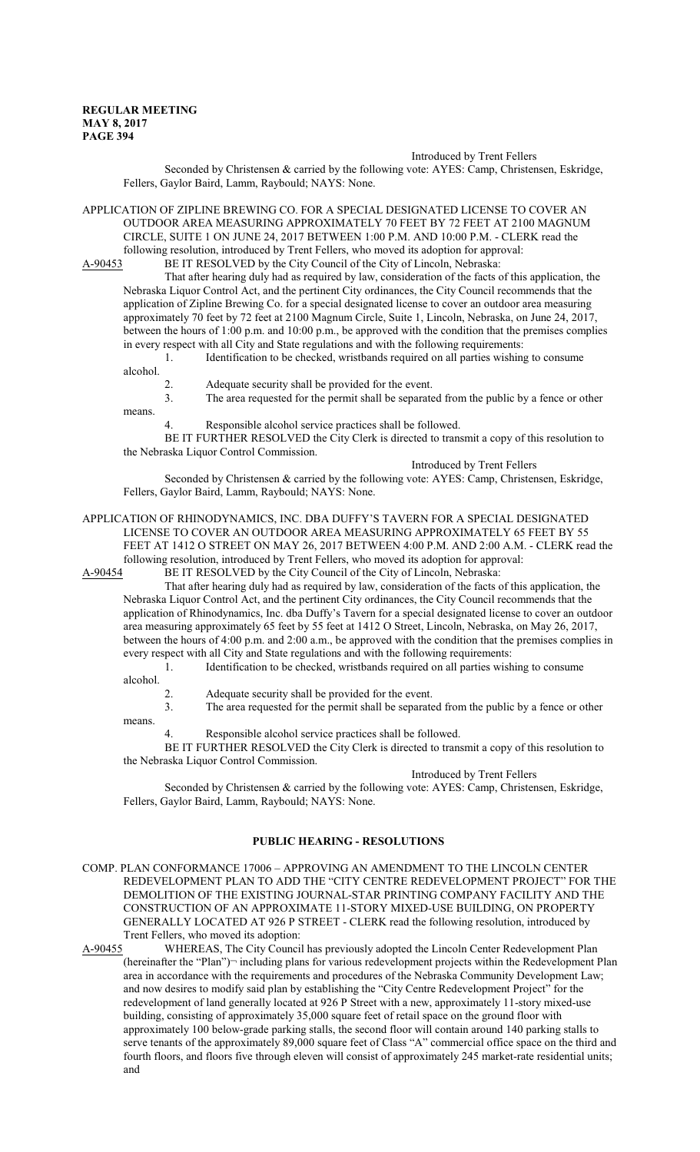#### Introduced by Trent Fellers

Seconded by Christensen & carried by the following vote: AYES: Camp, Christensen, Eskridge, Fellers, Gaylor Baird, Lamm, Raybould; NAYS: None.

APPLICATION OF ZIPLINE BREWING CO. FOR A SPECIAL DESIGNATED LICENSE TO COVER AN OUTDOOR AREA MEASURING APPROXIMATELY 70 FEET BY 72 FEET AT 2100 MAGNUM CIRCLE, SUITE 1 ON JUNE 24, 2017 BETWEEN 1:00 P.M. AND 10:00 P.M. - CLERK read the following resolution, introduced by Trent Fellers, who moved its adoption for approval:<br>A-90453 BE IT RESOLVED by the City Council of the City of Lincoln, Nebraska:

BE IT RESOLVED by the City Council of the City of Lincoln, Nebraska:

That after hearing duly had as required by law, consideration of the facts of this application, the Nebraska Liquor Control Act, and the pertinent City ordinances, the City Council recommends that the application of Zipline Brewing Co. for a special designated license to cover an outdoor area measuring approximately 70 feet by 72 feet at 2100 Magnum Circle, Suite 1, Lincoln, Nebraska, on June 24, 2017, between the hours of 1:00 p.m. and 10:00 p.m., be approved with the condition that the premises complies in every respect with all City and State regulations and with the following requirements:

1. Identification to be checked, wristbands required on all parties wishing to consume alcohol.

- 2. Adequate security shall be provided for the event.
- 3. The area requested for the permit shall be separated from the public by a fence or other

means.

4. Responsible alcohol service practices shall be followed.

BE IT FURTHER RESOLVED the City Clerk is directed to transmit a copy of this resolution to the Nebraska Liquor Control Commission.

Introduced by Trent Fellers

Seconded by Christensen & carried by the following vote: AYES: Camp, Christensen, Eskridge, Fellers, Gaylor Baird, Lamm, Raybould; NAYS: None.

# APPLICATION OF RHINODYNAMICS, INC. DBA DUFFY'S TAVERN FOR A SPECIAL DESIGNATED LICENSE TO COVER AN OUTDOOR AREA MEASURING APPROXIMATELY 65 FEET BY 55 FEET AT 1412 O STREET ON MAY 26, 2017 BETWEEN 4:00 P.M. AND 2:00 A.M. - CLERK read the following resolution, introduced by Trent Fellers, who moved its adoption for approval:<br>A-90454 BE IT RESOLVED by the City Council of the City of Lincoln, Nebraska:

BE IT RESOLVED by the City Council of the City of Lincoln, Nebraska:

That after hearing duly had as required by law, consideration of the facts of this application, the Nebraska Liquor Control Act, and the pertinent City ordinances, the City Council recommends that the application of Rhinodynamics, Inc. dba Duffy's Tavern for a special designated license to cover an outdoor area measuring approximately 65 feet by 55 feet at 1412 O Street, Lincoln, Nebraska, on May 26, 2017, between the hours of 4:00 p.m. and 2:00 a.m., be approved with the condition that the premises complies in every respect with all City and State regulations and with the following requirements:

1. Identification to be checked, wristbands required on all parties wishing to consume

alcohol.

2. Adequate security shall be provided for the event.

3. The area requested for the permit shall be separated from the public by a fence or other

means.

Responsible alcohol service practices shall be followed.

BE IT FURTHER RESOLVED the City Clerk is directed to transmit a copy of this resolution to the Nebraska Liquor Control Commission.

#### Introduced by Trent Fellers

Seconded by Christensen & carried by the following vote: AYES: Camp, Christensen, Eskridge, Fellers, Gaylor Baird, Lamm, Raybould; NAYS: None.

## **PUBLIC HEARING - RESOLUTIONS**

COMP. PLAN CONFORMANCE 17006 – APPROVING AN AMENDMENT TO THE LINCOLN CENTER REDEVELOPMENT PLAN TO ADD THE "CITY CENTRE REDEVELOPMENT PROJECT" FOR THE DEMOLITION OF THE EXISTING JOURNAL-STAR PRINTING COMPANY FACILITY AND THE CONSTRUCTION OF AN APPROXIMATE 11-STORY MIXED-USE BUILDING, ON PROPERTY GENERALLY LOCATED AT 926 P STREET - CLERK read the following resolution, introduced by Trent Fellers, who moved its adoption:

A-90455 WHEREAS, The City Council has previously adopted the Lincoln Center Redevelopment Plan (hereinafter the "Plan")¬ including plans for various redevelopment projects within the Redevelopment Plan area in accordance with the requirements and procedures of the Nebraska Community Development Law; and now desires to modify said plan by establishing the "City Centre Redevelopment Project" for the redevelopment of land generally located at 926 P Street with a new, approximately 11-story mixed-use building, consisting of approximately 35,000 square feet of retail space on the ground floor with approximately 100 below-grade parking stalls, the second floor will contain around 140 parking stalls to serve tenants of the approximately 89,000 square feet of Class "A" commercial office space on the third and fourth floors, and floors five through eleven will consist of approximately 245 market-rate residential units; and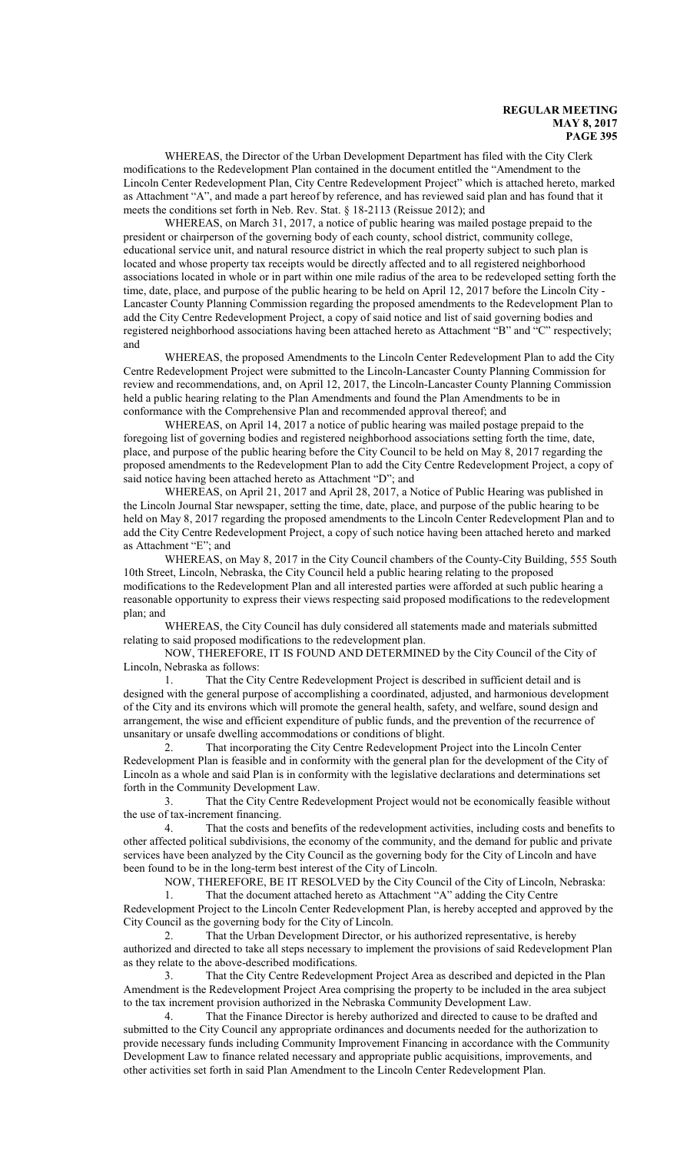WHEREAS, the Director of the Urban Development Department has filed with the City Clerk modifications to the Redevelopment Plan contained in the document entitled the "Amendment to the Lincoln Center Redevelopment Plan, City Centre Redevelopment Project" which is attached hereto, marked as Attachment "A", and made a part hereof by reference, and has reviewed said plan and has found that it meets the conditions set forth in Neb. Rev. Stat. § 18-2113 (Reissue 2012); and

WHEREAS, on March 31, 2017, a notice of public hearing was mailed postage prepaid to the president or chairperson of the governing body of each county, school district, community college, educational service unit, and natural resource district in which the real property subject to such plan is located and whose property tax receipts would be directly affected and to all registered neighborhood associations located in whole or in part within one mile radius of the area to be redeveloped setting forth the time, date, place, and purpose of the public hearing to be held on April 12, 2017 before the Lincoln City - Lancaster County Planning Commission regarding the proposed amendments to the Redevelopment Plan to add the City Centre Redevelopment Project, a copy of said notice and list of said governing bodies and registered neighborhood associations having been attached hereto as Attachment "B" and "C" respectively; and

WHEREAS, the proposed Amendments to the Lincoln Center Redevelopment Plan to add the City Centre Redevelopment Project were submitted to the Lincoln-Lancaster County Planning Commission for review and recommendations, and, on April 12, 2017, the Lincoln-Lancaster County Planning Commission held a public hearing relating to the Plan Amendments and found the Plan Amendments to be in conformance with the Comprehensive Plan and recommended approval thereof; and

WHEREAS, on April 14, 2017 a notice of public hearing was mailed postage prepaid to the foregoing list of governing bodies and registered neighborhood associations setting forth the time, date, place, and purpose of the public hearing before the City Council to be held on May 8, 2017 regarding the proposed amendments to the Redevelopment Plan to add the City Centre Redevelopment Project, a copy of said notice having been attached hereto as Attachment "D"; and

WHEREAS, on April 21, 2017 and April 28, 2017, a Notice of Public Hearing was published in the Lincoln Journal Star newspaper, setting the time, date, place, and purpose of the public hearing to be held on May 8, 2017 regarding the proposed amendments to the Lincoln Center Redevelopment Plan and to add the City Centre Redevelopment Project, a copy of such notice having been attached hereto and marked as Attachment "E"; and

WHEREAS, on May 8, 2017 in the City Council chambers of the County-City Building, 555 South 10th Street, Lincoln, Nebraska, the City Council held a public hearing relating to the proposed modifications to the Redevelopment Plan and all interested parties were afforded at such public hearing a reasonable opportunity to express their views respecting said proposed modifications to the redevelopment plan; and

WHEREAS, the City Council has duly considered all statements made and materials submitted relating to said proposed modifications to the redevelopment plan.

NOW, THEREFORE, IT IS FOUND AND DETERMINED by the City Council of the City of Lincoln, Nebraska as follows:

1. That the City Centre Redevelopment Project is described in sufficient detail and is designed with the general purpose of accomplishing a coordinated, adjusted, and harmonious development of the City and its environs which will promote the general health, safety, and welfare, sound design and arrangement, the wise and efficient expenditure of public funds, and the prevention of the recurrence of unsanitary or unsafe dwelling accommodations or conditions of blight.

2. That incorporating the City Centre Redevelopment Project into the Lincoln Center Redevelopment Plan is feasible and in conformity with the general plan for the development of the City of Lincoln as a whole and said Plan is in conformity with the legislative declarations and determinations set forth in the Community Development Law.

3. That the City Centre Redevelopment Project would not be economically feasible without the use of tax-increment financing.

4. That the costs and benefits of the redevelopment activities, including costs and benefits to other affected political subdivisions, the economy of the community, and the demand for public and private services have been analyzed by the City Council as the governing body for the City of Lincoln and have been found to be in the long-term best interest of the City of Lincoln.

NOW, THEREFORE, BE IT RESOLVED by the City Council of the City of Lincoln, Nebraska:

1. That the document attached hereto as Attachment "A" adding the City Centre Redevelopment Project to the Lincoln Center Redevelopment Plan, is hereby accepted and approved by the City Council as the governing body for the City of Lincoln.

2. That the Urban Development Director, or his authorized representative, is hereby authorized and directed to take all steps necessary to implement the provisions of said Redevelopment Plan as they relate to the above-described modifications.

3. That the City Centre Redevelopment Project Area as described and depicted in the Plan Amendment is the Redevelopment Project Area comprising the property to be included in the area subject to the tax increment provision authorized in the Nebraska Community Development Law.

4. That the Finance Director is hereby authorized and directed to cause to be drafted and submitted to the City Council any appropriate ordinances and documents needed for the authorization to provide necessary funds including Community Improvement Financing in accordance with the Community Development Law to finance related necessary and appropriate public acquisitions, improvements, and other activities set forth in said Plan Amendment to the Lincoln Center Redevelopment Plan.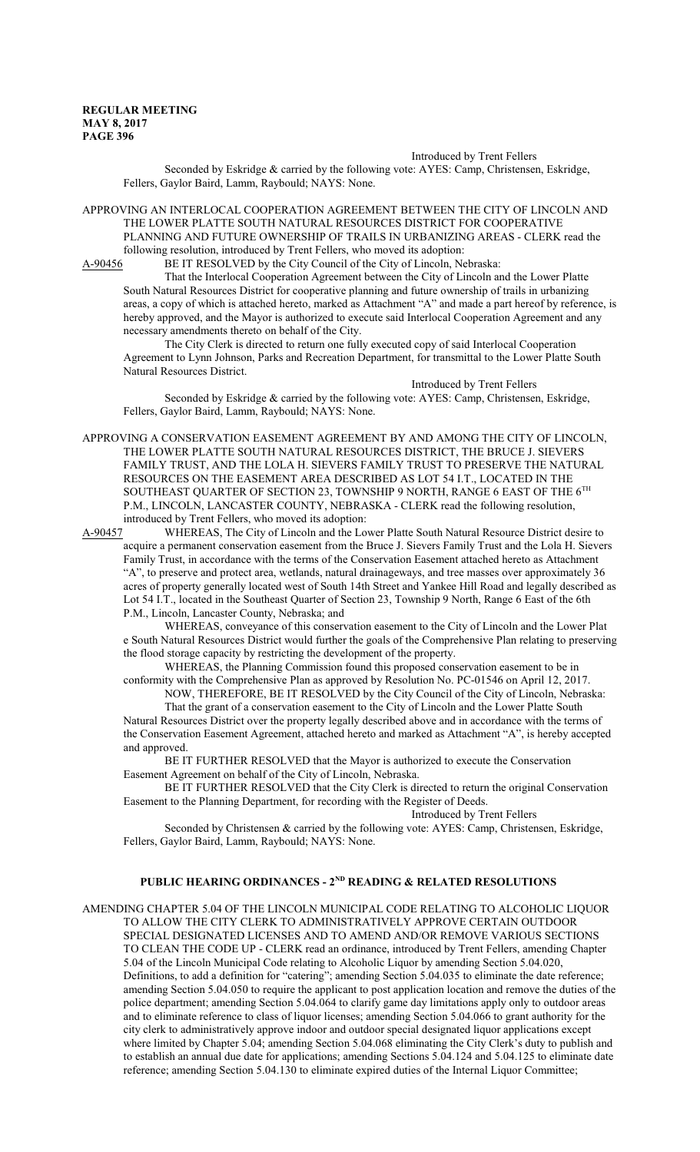Introduced by Trent Fellers

Seconded by Eskridge & carried by the following vote: AYES: Camp, Christensen, Eskridge, Fellers, Gaylor Baird, Lamm, Raybould; NAYS: None.

APPROVING AN INTERLOCAL COOPERATION AGREEMENT BETWEEN THE CITY OF LINCOLN AND THE LOWER PLATTE SOUTH NATURAL RESOURCES DISTRICT FOR COOPERATIVE PLANNING AND FUTURE OWNERSHIP OF TRAILS IN URBANIZING AREAS - CLERK read the following resolution, introduced by Trent Fellers, who moved its adoption:<br>A-90456 BE IT RESOLVED by the City Council of the City of Lincoln, Ne

BE IT RESOLVED by the City Council of the City of Lincoln, Nebraska:

That the Interlocal Cooperation Agreement between the City of Lincoln and the Lower Platte South Natural Resources District for cooperative planning and future ownership of trails in urbanizing areas, a copy of which is attached hereto, marked as Attachment "A" and made a part hereof by reference, is hereby approved, and the Mayor is authorized to execute said Interlocal Cooperation Agreement and any necessary amendments thereto on behalf of the City.

The City Clerk is directed to return one fully executed copy of said Interlocal Cooperation Agreement to Lynn Johnson, Parks and Recreation Department, for transmittal to the Lower Platte South Natural Resources District.

Introduced by Trent Fellers

Seconded by Eskridge & carried by the following vote: AYES: Camp, Christensen, Eskridge, Fellers, Gaylor Baird, Lamm, Raybould; NAYS: None.

APPROVING A CONSERVATION EASEMENT AGREEMENT BY AND AMONG THE CITY OF LINCOLN, THE LOWER PLATTE SOUTH NATURAL RESOURCES DISTRICT, THE BRUCE J. SIEVERS FAMILY TRUST, AND THE LOLA H. SIEVERS FAMILY TRUST TO PRESERVE THE NATURAL RESOURCES ON THE EASEMENT AREA DESCRIBED AS LOT 54 I.T., LOCATED IN THE SOUTHEAST QUARTER OF SECTION 23, TOWNSHIP 9 NORTH, RANGE 6 EAST OF THE 6TH P.M., LINCOLN, LANCASTER COUNTY, NEBRASKA - CLERK read the following resolution, introduced by Trent Fellers, who moved its adoption:

A-90457 WHEREAS, The City of Lincoln and the Lower Platte South Natural Resource District desire to acquire a permanent conservation easement from the Bruce J. Sievers Family Trust and the Lola H. Sievers Family Trust, in accordance with the terms of the Conservation Easement attached hereto as Attachment "A", to preserve and protect area, wetlands, natural drainageways, and tree masses over approximately 36 acres of property generally located west of South 14th Street and Yankee Hill Road and legally described as Lot 54 I.T., located in the Southeast Quarter of Section 23, Township 9 North, Range 6 East of the 6th P.M., Lincoln, Lancaster County, Nebraska; and

WHEREAS, conveyance of this conservation easement to the City of Lincoln and the Lower Plat e South Natural Resources District would further the goals of the Comprehensive Plan relating to preserving the flood storage capacity by restricting the development of the property.

WHEREAS, the Planning Commission found this proposed conservation easement to be in conformity with the Comprehensive Plan as approved by Resolution No. PC-01546 on April 12, 2017.

NOW, THEREFORE, BE IT RESOLVED by the City Council of the City of Lincoln, Nebraska: That the grant of a conservation easement to the City of Lincoln and the Lower Platte South

Natural Resources District over the property legally described above and in accordance with the terms of the Conservation Easement Agreement, attached hereto and marked as Attachment "A", is hereby accepted and approved.

BE IT FURTHER RESOLVED that the Mayor is authorized to execute the Conservation Easement Agreement on behalf of the City of Lincoln, Nebraska.

BE IT FURTHER RESOLVED that the City Clerk is directed to return the original Conservation Easement to the Planning Department, for recording with the Register of Deeds.

Introduced by Trent Fellers

Seconded by Christensen & carried by the following vote: AYES: Camp, Christensen, Eskridge, Fellers, Gaylor Baird, Lamm, Raybould; NAYS: None.

## **PUBLIC HEARING ORDINANCES - 2ND READING & RELATED RESOLUTIONS**

AMENDING CHAPTER 5.04 OF THE LINCOLN MUNICIPAL CODE RELATING TO ALCOHOLIC LIQUOR TO ALLOW THE CITY CLERK TO ADMINISTRATIVELY APPROVE CERTAIN OUTDOOR SPECIAL DESIGNATED LICENSES AND TO AMEND AND/OR REMOVE VARIOUS SECTIONS TO CLEAN THE CODE UP - CLERK read an ordinance, introduced by Trent Fellers, amending Chapter 5.04 of the Lincoln Municipal Code relating to Alcoholic Liquor by amending Section 5.04.020, Definitions, to add a definition for "catering"; amending Section 5.04.035 to eliminate the date reference; amending Section 5.04.050 to require the applicant to post application location and remove the duties of the police department; amending Section 5.04.064 to clarify game day limitations apply only to outdoor areas and to eliminate reference to class of liquor licenses; amending Section 5.04.066 to grant authority for the city clerk to administratively approve indoor and outdoor special designated liquor applications except where limited by Chapter 5.04; amending Section 5.04.068 eliminating the City Clerk's duty to publish and to establish an annual due date for applications; amending Sections 5.04.124 and 5.04.125 to eliminate date reference; amending Section 5.04.130 to eliminate expired duties of the Internal Liquor Committee;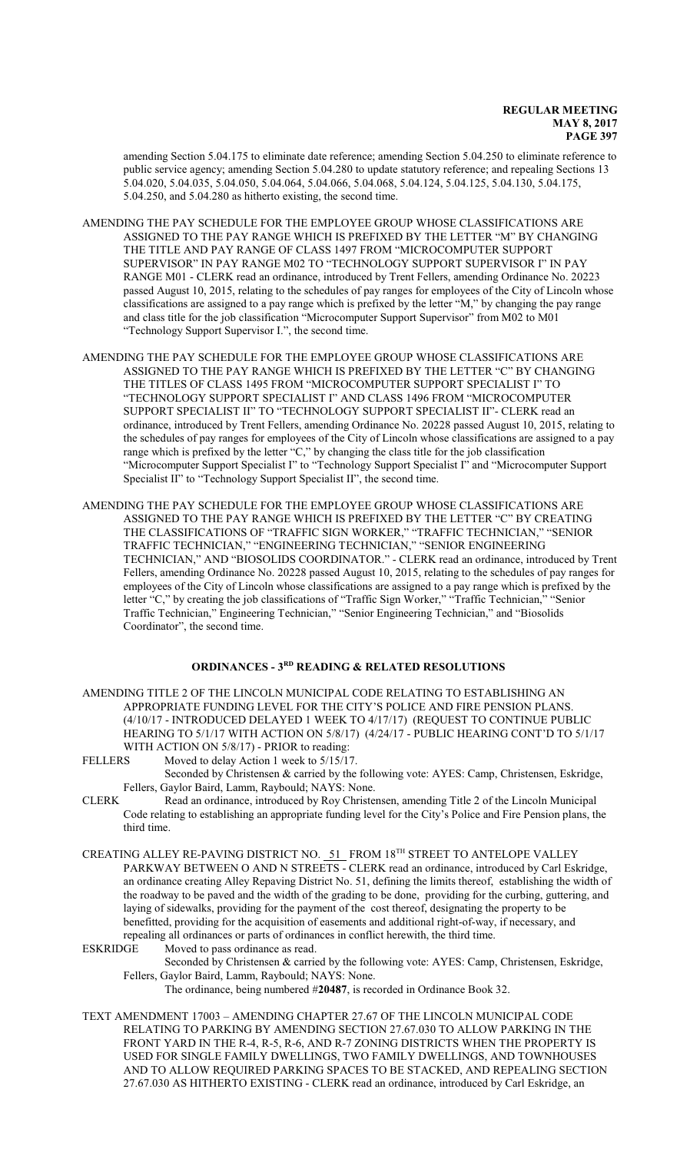amending Section 5.04.175 to eliminate date reference; amending Section 5.04.250 to eliminate reference to public service agency; amending Section 5.04.280 to update statutory reference; and repealing Sections 13 5.04.020, 5.04.035, 5.04.050, 5.04.064, 5.04.066, 5.04.068, 5.04.124, 5.04.125, 5.04.130, 5.04.175, 5.04.250, and 5.04.280 as hitherto existing, the second time.

AMENDING THE PAY SCHEDULE FOR THE EMPLOYEE GROUP WHOSE CLASSIFICATIONS ARE ASSIGNED TO THE PAY RANGE WHICH IS PREFIXED BY THE LETTER "M" BY CHANGING THE TITLE AND PAY RANGE OF CLASS 1497 FROM "MICROCOMPUTER SUPPORT SUPERVISOR" IN PAY RANGE M02 TO "TECHNOLOGY SUPPORT SUPERVISOR I" IN PAY RANGE M01 - CLERK read an ordinance, introduced by Trent Fellers, amending Ordinance No. 20223 passed August 10, 2015, relating to the schedules of pay ranges for employees of the City of Lincoln whose classifications are assigned to a pay range which is prefixed by the letter "M," by changing the pay range and class title for the job classification "Microcomputer Support Supervisor" from M02 to M01 "Technology Support Supervisor I.", the second time.

- AMENDING THE PAY SCHEDULE FOR THE EMPLOYEE GROUP WHOSE CLASSIFICATIONS ARE ASSIGNED TO THE PAY RANGE WHICH IS PREFIXED BY THE LETTER "C" BY CHANGING THE TITLES OF CLASS 1495 FROM "MICROCOMPUTER SUPPORT SPECIALIST I" TO "TECHNOLOGY SUPPORT SPECIALIST I" AND CLASS 1496 FROM "MICROCOMPUTER SUPPORT SPECIALIST II" TO "TECHNOLOGY SUPPORT SPECIALIST II"- CLERK read an ordinance, introduced by Trent Fellers, amending Ordinance No. 20228 passed August 10, 2015, relating to the schedules of pay ranges for employees of the City of Lincoln whose classifications are assigned to a pay range which is prefixed by the letter "C," by changing the class title for the job classification "Microcomputer Support Specialist I" to "Technology Support Specialist I" and "Microcomputer Support Specialist II" to "Technology Support Specialist II", the second time.
- AMENDING THE PAY SCHEDULE FOR THE EMPLOYEE GROUP WHOSE CLASSIFICATIONS ARE ASSIGNED TO THE PAY RANGE WHICH IS PREFIXED BY THE LETTER "C" BY CREATING THE CLASSIFICATIONS OF "TRAFFIC SIGN WORKER," "TRAFFIC TECHNICIAN," "SENIOR TRAFFIC TECHNICIAN," "ENGINEERING TECHNICIAN," "SENIOR ENGINEERING TECHNICIAN," AND "BIOSOLIDS COORDINATOR." - CLERK read an ordinance, introduced by Trent Fellers, amending Ordinance No. 20228 passed August 10, 2015, relating to the schedules of pay ranges for employees of the City of Lincoln whose classifications are assigned to a pay range which is prefixed by the letter "C," by creating the job classifications of "Traffic Sign Worker," "Traffic Technician," "Senior Traffic Technician," Engineering Technician," "Senior Engineering Technician," and "Biosolids Coordinator", the second time.

## **ORDINANCES - 3RD READING & RELATED RESOLUTIONS**

- AMENDING TITLE 2 OF THE LINCOLN MUNICIPAL CODE RELATING TO ESTABLISHING AN APPROPRIATE FUNDING LEVEL FOR THE CITY'S POLICE AND FIRE PENSION PLANS. (4/10/17 - INTRODUCED DELAYED 1 WEEK TO 4/17/17) (REQUEST TO CONTINUE PUBLIC HEARING TO 5/1/17 WITH ACTION ON 5/8/17) (4/24/17 - PUBLIC HEARING CONT'D TO 5/1/17 WITH ACTION ON 5/8/17) - PRIOR to reading:
- FELLERS Moved to delay Action 1 week to  $5/15/17$ . Seconded by Christensen & carried by the following vote: AYES: Camp, Christensen, Eskridge, Fellers, Gaylor Baird, Lamm, Raybould; NAYS: None.
- CLERK Read an ordinance, introduced by Roy Christensen, amending Title 2 of the Lincoln Municipal Code relating to establishing an appropriate funding level for the City's Police and Fire Pension plans, the third time.
- CREATING ALLEY RE-PAVING DISTRICT NO. 51\_FROM 18TH STREET TO ANTELOPE VALLEY PARKWAY BETWEEN O AND N STREETS - CLERK read an ordinance, introduced by Carl Eskridge, an ordinance creating Alley Repaving District No. 51, defining the limits thereof, establishing the width of the roadway to be paved and the width of the grading to be done, providing for the curbing, guttering, and laying of sidewalks, providing for the payment of the cost thereof, designating the property to be benefitted, providing for the acquisition of easements and additional right-of-way, if necessary, and repealing all ordinances or parts of ordinances in conflict herewith, the third time.<br>ESKRIDGE Moved to pass ordinance as read.
- Moved to pass ordinance as read.

Seconded by Christensen & carried by the following vote: AYES: Camp, Christensen, Eskridge, Fellers, Gaylor Baird, Lamm, Raybould; NAYS: None.

- The ordinance, being numbered #**20487**, is recorded in Ordinance Book 32.
- TEXT AMENDMENT 17003 AMENDING CHAPTER 27.67 OF THE LINCOLN MUNICIPAL CODE RELATING TO PARKING BY AMENDING SECTION 27.67.030 TO ALLOW PARKING IN THE FRONT YARD IN THE R-4, R-5, R-6, AND R-7 ZONING DISTRICTS WHEN THE PROPERTY IS USED FOR SINGLE FAMILY DWELLINGS, TWO FAMILY DWELLINGS, AND TOWNHOUSES AND TO ALLOW REQUIRED PARKING SPACES TO BE STACKED, AND REPEALING SECTION 27.67.030 AS HITHERTO EXISTING - CLERK read an ordinance, introduced by Carl Eskridge, an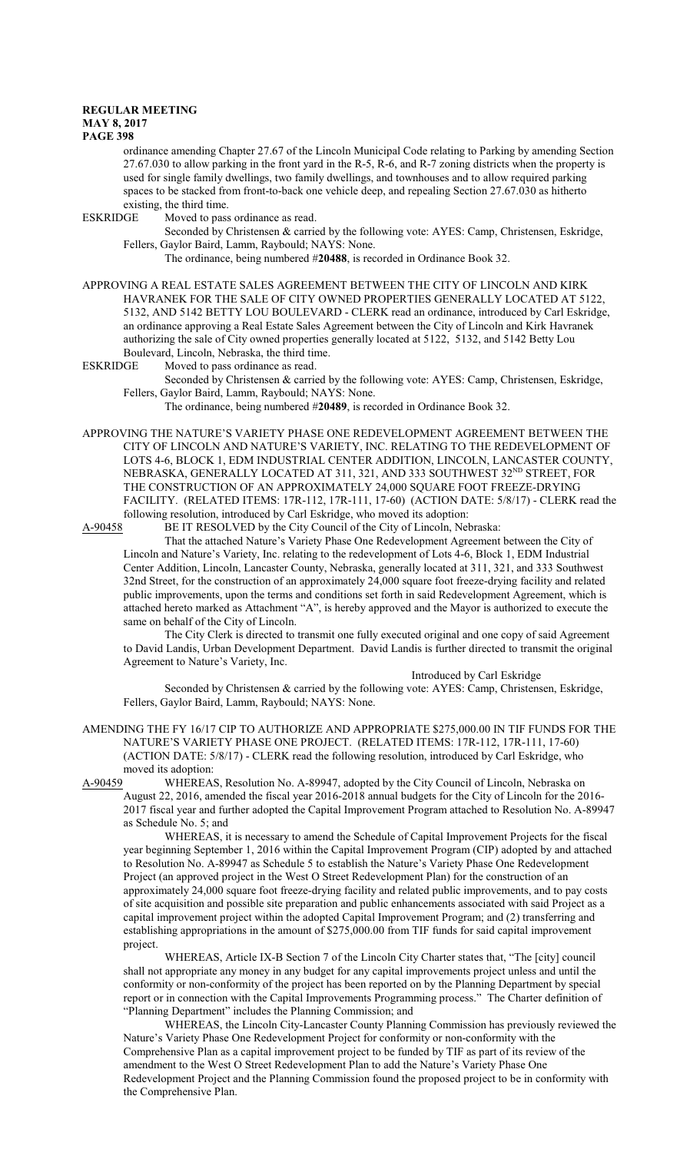#### **REGULAR MEETING MAY 8, 2017**

**PAGE 398**

ordinance amending Chapter 27.67 of the Lincoln Municipal Code relating to Parking by amending Section 27.67.030 to allow parking in the front yard in the R-5, R-6, and R-7 zoning districts when the property is used for single family dwellings, two family dwellings, and townhouses and to allow required parking spaces to be stacked from front-to-back one vehicle deep, and repealing Section 27.67.030 as hitherto existing, the third time.

ESKRIDGE Moved to pass ordinance as read.

Seconded by Christensen & carried by the following vote: AYES: Camp, Christensen, Eskridge, Fellers, Gaylor Baird, Lamm, Raybould; NAYS: None.

The ordinance, being numbered #**20488**, is recorded in Ordinance Book 32.

APPROVING A REAL ESTATE SALES AGREEMENT BETWEEN THE CITY OF LINCOLN AND KIRK HAVRANEK FOR THE SALE OF CITY OWNED PROPERTIES GENERALLY LOCATED AT 5122, 5132, AND 5142 BETTY LOU BOULEVARD - CLERK read an ordinance, introduced by Carl Eskridge, an ordinance approving a Real Estate Sales Agreement between the City of Lincoln and Kirk Havranek authorizing the sale of City owned properties generally located at 5122, 5132, and 5142 Betty Lou Boulevard, Lincoln, Nebraska, the third time.

ESKRIDGE Moved to pass ordinance as read.

Seconded by Christensen & carried by the following vote: AYES: Camp, Christensen, Eskridge, Fellers, Gaylor Baird, Lamm, Raybould; NAYS: None.

The ordinance, being numbered #**20489**, is recorded in Ordinance Book 32.

APPROVING THE NATURE'S VARIETY PHASE ONE REDEVELOPMENT AGREEMENT BETWEEN THE CITY OF LINCOLN AND NATURE'S VARIETY, INC. RELATING TO THE REDEVELOPMENT OF LOTS 4-6, BLOCK 1, EDM INDUSTRIAL CENTER ADDITION, LINCOLN, LANCASTER COUNTY, NEBRASKA, GENERALLY LOCATED AT 311, 321, AND 333 SOUTHWEST 32 ND STREET, FOR THE CONSTRUCTION OF AN APPROXIMATELY 24,000 SQUARE FOOT FREEZE-DRYING FACILITY. (RELATED ITEMS: 17R-112, 17R-111, 17-60) (ACTION DATE: 5/8/17) - CLERK read the following resolution, introduced by Carl Eskridge, who moved its adoption:

A-90458 BE IT RESOLVED by the City Council of the City of Lincoln, Nebraska:

That the attached Nature's Variety Phase One Redevelopment Agreement between the City of Lincoln and Nature's Variety, Inc. relating to the redevelopment of Lots 4-6, Block 1, EDM Industrial Center Addition, Lincoln, Lancaster County, Nebraska, generally located at 311, 321, and 333 Southwest 32nd Street, for the construction of an approximately 24,000 square foot freeze-drying facility and related public improvements, upon the terms and conditions set forth in said Redevelopment Agreement, which is attached hereto marked as Attachment "A", is hereby approved and the Mayor is authorized to execute the same on behalf of the City of Lincoln.

The City Clerk is directed to transmit one fully executed original and one copy of said Agreement to David Landis, Urban Development Department. David Landis is further directed to transmit the original Agreement to Nature's Variety, Inc.

Introduced by Carl Eskridge

Seconded by Christensen & carried by the following vote: AYES: Camp, Christensen, Eskridge, Fellers, Gaylor Baird, Lamm, Raybould; NAYS: None.

AMENDING THE FY 16/17 CIP TO AUTHORIZE AND APPROPRIATE \$275,000.00 IN TIF FUNDS FOR THE NATURE'S VARIETY PHASE ONE PROJECT. (RELATED ITEMS: 17R-112, 17R-111, 17-60) (ACTION DATE: 5/8/17) - CLERK read the following resolution, introduced by Carl Eskridge, who moved its adoption:

A-90459 WHEREAS, Resolution No. A-89947, adopted by the City Council of Lincoln, Nebraska on August 22, 2016, amended the fiscal year 2016-2018 annual budgets for the City of Lincoln for the 2016- 2017 fiscal year and further adopted the Capital Improvement Program attached to Resolution No. A-89947 as Schedule No. 5; and

WHEREAS, it is necessary to amend the Schedule of Capital Improvement Projects for the fiscal year beginning September 1, 2016 within the Capital Improvement Program (CIP) adopted by and attached to Resolution No. A-89947 as Schedule 5 to establish the Nature's Variety Phase One Redevelopment Project (an approved project in the West O Street Redevelopment Plan) for the construction of an approximately 24,000 square foot freeze-drying facility and related public improvements, and to pay costs of site acquisition and possible site preparation and public enhancements associated with said Project as a capital improvement project within the adopted Capital Improvement Program; and (2) transferring and establishing appropriations in the amount of \$275,000.00 from TIF funds for said capital improvement project.

WHEREAS, Article IX-B Section 7 of the Lincoln City Charter states that, "The [city] council shall not appropriate any money in any budget for any capital improvements project unless and until the conformity or non-conformity of the project has been reported on by the Planning Department by special report or in connection with the Capital Improvements Programming process." The Charter definition of "Planning Department" includes the Planning Commission; and

WHEREAS, the Lincoln City-Lancaster County Planning Commission has previously reviewed the Nature's Variety Phase One Redevelopment Project for conformity or non-conformity with the Comprehensive Plan as a capital improvement project to be funded by TIF as part of its review of the amendment to the West O Street Redevelopment Plan to add the Nature's Variety Phase One Redevelopment Project and the Planning Commission found the proposed project to be in conformity with the Comprehensive Plan.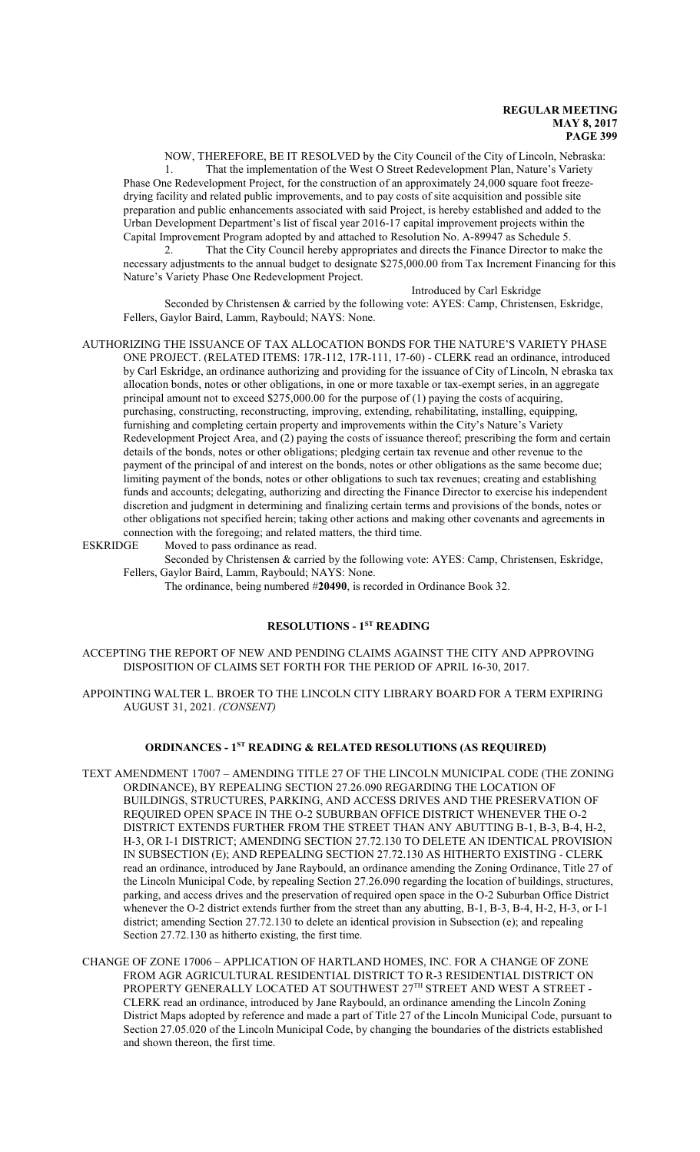NOW, THEREFORE, BE IT RESOLVED by the City Council of the City of Lincoln, Nebraska: 1. That the implementation of the West O Street Redevelopment Plan, Nature's Variety Phase One Redevelopment Project, for the construction of an approximately 24,000 square foot freezedrying facility and related public improvements, and to pay costs of site acquisition and possible site preparation and public enhancements associated with said Project, is hereby established and added to the Urban Development Department's list of fiscal year 2016-17 capital improvement projects within the Capital Improvement Program adopted by and attached to Resolution No. A-89947 as Schedule 5.

2. That the City Council hereby appropriates and directs the Finance Director to make the necessary adjustments to the annual budget to designate \$275,000.00 from Tax Increment Financing for this Nature's Variety Phase One Redevelopment Project.

Introduced by Carl Eskridge

Seconded by Christensen & carried by the following vote: AYES: Camp, Christensen, Eskridge, Fellers, Gaylor Baird, Lamm, Raybould; NAYS: None.

AUTHORIZING THE ISSUANCE OF TAX ALLOCATION BONDS FOR THE NATURE'S VARIETY PHASE ONE PROJECT. (RELATED ITEMS: 17R-112, 17R-111, 17-60) - CLERK read an ordinance, introduced by Carl Eskridge, an ordinance authorizing and providing for the issuance of City of Lincoln, N ebraska tax allocation bonds, notes or other obligations, in one or more taxable or tax-exempt series, in an aggregate principal amount not to exceed \$275,000.00 for the purpose of (1) paying the costs of acquiring, purchasing, constructing, reconstructing, improving, extending, rehabilitating, installing, equipping, furnishing and completing certain property and improvements within the City's Nature's Variety Redevelopment Project Area, and (2) paying the costs of issuance thereof; prescribing the form and certain details of the bonds, notes or other obligations; pledging certain tax revenue and other revenue to the payment of the principal of and interest on the bonds, notes or other obligations as the same become due; limiting payment of the bonds, notes or other obligations to such tax revenues; creating and establishing funds and accounts; delegating, authorizing and directing the Finance Director to exercise his independent discretion and judgment in determining and finalizing certain terms and provisions of the bonds, notes or other obligations not specified herein; taking other actions and making other covenants and agreements in connection with the foregoing; and related matters, the third time.<br>ESKRIDGE Moved to pass ordinance as read.

Moved to pass ordinance as read.

Seconded by Christensen & carried by the following vote: AYES: Camp, Christensen, Eskridge, Fellers, Gaylor Baird, Lamm, Raybould; NAYS: None.

The ordinance, being numbered #**20490**, is recorded in Ordinance Book 32.

## **RESOLUTIONS - 1ST READING**

ACCEPTING THE REPORT OF NEW AND PENDING CLAIMS AGAINST THE CITY AND APPROVING DISPOSITION OF CLAIMS SET FORTH FOR THE PERIOD OF APRIL 16-30, 2017.

APPOINTING WALTER L. BROER TO THE LINCOLN CITY LIBRARY BOARD FOR A TERM EXPIRING AUGUST 31, 2021. *(CONSENT)*

## **ORDINANCES - 1ST READING & RELATED RESOLUTIONS (AS REQUIRED)**

- TEXT AMENDMENT 17007 AMENDING TITLE 27 OF THE LINCOLN MUNICIPAL CODE (THE ZONING ORDINANCE), BY REPEALING SECTION 27.26.090 REGARDING THE LOCATION OF BUILDINGS, STRUCTURES, PARKING, AND ACCESS DRIVES AND THE PRESERVATION OF REQUIRED OPEN SPACE IN THE O-2 SUBURBAN OFFICE DISTRICT WHENEVER THE O-2 DISTRICT EXTENDS FURTHER FROM THE STREET THAN ANY ABUTTING B-1, B-3, B-4, H-2, H-3, OR I-1 DISTRICT; AMENDING SECTION 27.72.130 TO DELETE AN IDENTICAL PROVISION IN SUBSECTION (E); AND REPEALING SECTION 27.72.130 AS HITHERTO EXISTING - CLERK read an ordinance, introduced by Jane Raybould, an ordinance amending the Zoning Ordinance, Title 27 of the Lincoln Municipal Code, by repealing Section 27.26.090 regarding the location of buildings, structures, parking, and access drives and the preservation of required open space in the O-2 Suburban Office District whenever the O-2 district extends further from the street than any abutting, B-1, B-3, B-4, H-2, H-3, or I-1 district; amending Section 27.72.130 to delete an identical provision in Subsection (e); and repealing Section 27.72.130 as hitherto existing, the first time.
- CHANGE OF ZONE 17006 APPLICATION OF HARTLAND HOMES, INC. FOR A CHANGE OF ZONE FROM AGR AGRICULTURAL RESIDENTIAL DISTRICT TO R-3 RESIDENTIAL DISTRICT ON PROPERTY GENERALLY LOCATED AT SOUTHWEST  $27^{\text{\tiny{TH}}}$  STREET AND WEST A STREET -CLERK read an ordinance, introduced by Jane Raybould, an ordinance amending the Lincoln Zoning District Maps adopted by reference and made a part of Title 27 of the Lincoln Municipal Code, pursuant to Section 27.05.020 of the Lincoln Municipal Code, by changing the boundaries of the districts established and shown thereon, the first time.